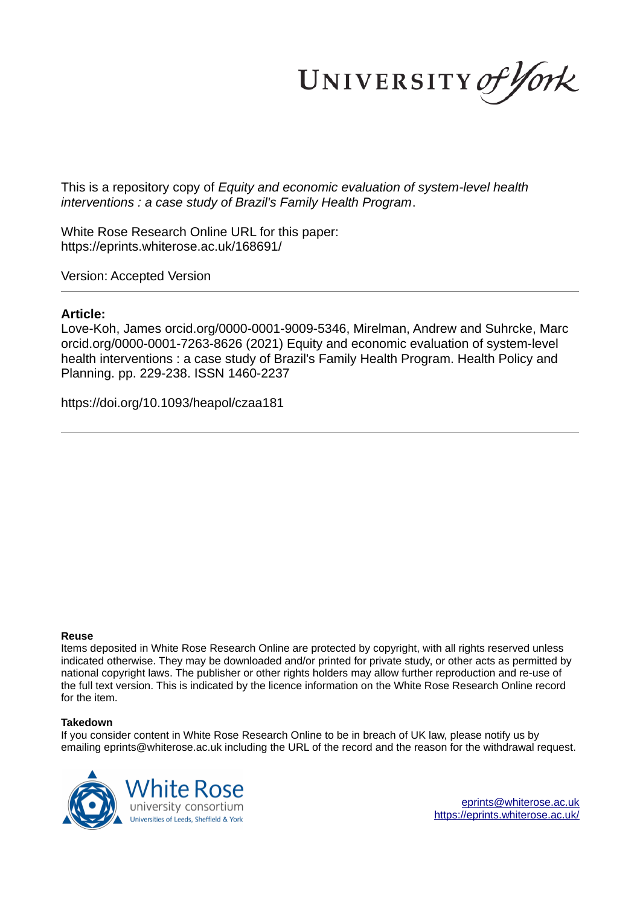UNIVERSITY of York

This is a repository copy of *Equity and economic evaluation of system-level health interventions : a case study of Brazil's Family Health Program*.

White Rose Research Online URL for this paper: https://eprints.whiterose.ac.uk/168691/

Version: Accepted Version

#### **Article:**

Love-Koh, James orcid.org/0000-0001-9009-5346, Mirelman, Andrew and Suhrcke, Marc orcid.org/0000-0001-7263-8626 (2021) Equity and economic evaluation of system-level health interventions : a case study of Brazil's Family Health Program. Health Policy and Planning. pp. 229-238. ISSN 1460-2237

https://doi.org/10.1093/heapol/czaa181

#### **Reuse**

Items deposited in White Rose Research Online are protected by copyright, with all rights reserved unless indicated otherwise. They may be downloaded and/or printed for private study, or other acts as permitted by national copyright laws. The publisher or other rights holders may allow further reproduction and re-use of the full text version. This is indicated by the licence information on the White Rose Research Online record for the item.

#### **Takedown**

If you consider content in White Rose Research Online to be in breach of UK law, please notify us by emailing eprints@whiterose.ac.uk including the URL of the record and the reason for the withdrawal request.



eprints@whiterose.ac.uk https://eprints.whiterose.ac.uk/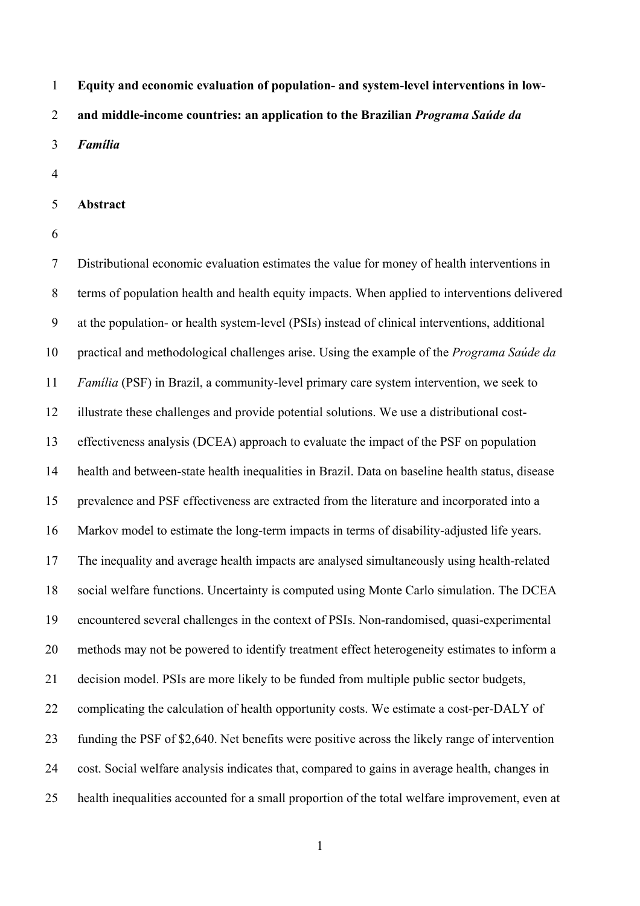**Equity and economic evaluation of population- and system-level interventions in low-and middle-income countries: an application to the Brazilian** *Programa Saúde da* 

*Família*

**Abstract** 

 Distributional economic evaluation estimates the value for money of health interventions in terms of population health and health equity impacts. When applied to interventions delivered at the population- or health system-level (PSIs) instead of clinical interventions, additional practical and methodological challenges arise. Using the example of the *Programa Saúde da Família* (PSF) in Brazil, a community-level primary care system intervention, we seek to illustrate these challenges and provide potential solutions. We use a distributional cost- effectiveness analysis (DCEA) approach to evaluate the impact of the PSF on population health and between-state health inequalities in Brazil. Data on baseline health status, disease prevalence and PSF effectiveness are extracted from the literature and incorporated into a Markov model to estimate the long-term impacts in terms of disability-adjusted life years. The inequality and average health impacts are analysed simultaneously using health-related social welfare functions. Uncertainty is computed using Monte Carlo simulation. The DCEA encountered several challenges in the context of PSIs. Non-randomised, quasi-experimental methods may not be powered to identify treatment effect heterogeneity estimates to inform a decision model. PSIs are more likely to be funded from multiple public sector budgets, complicating the calculation of health opportunity costs. We estimate a cost-per-DALY of funding the PSF of \$2,640. Net benefits were positive across the likely range of intervention cost. Social welfare analysis indicates that, compared to gains in average health, changes in health inequalities accounted for a small proportion of the total welfare improvement, even at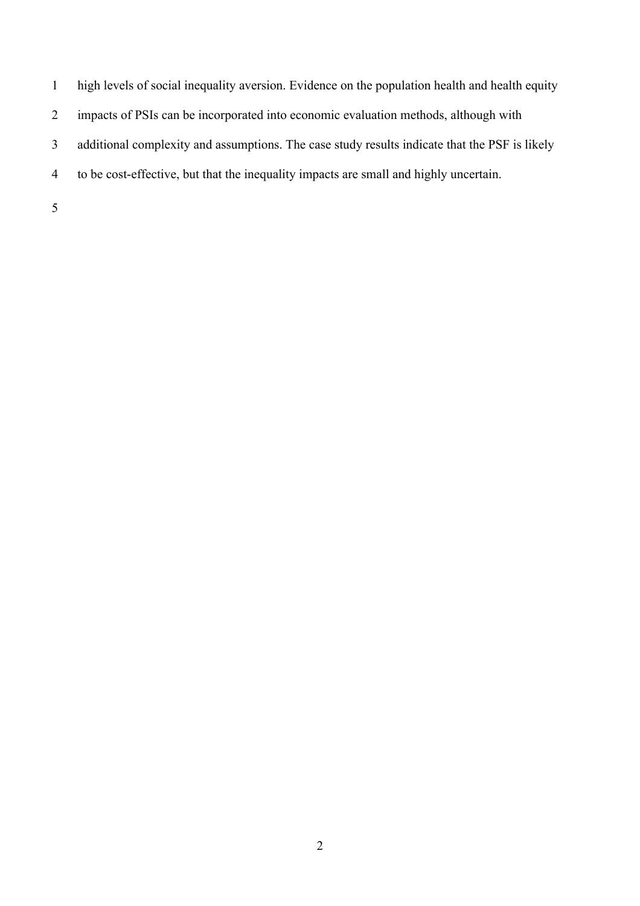- high levels of social inequality aversion. Evidence on the population health and health equity impacts of PSIs can be incorporated into economic evaluation methods, although with additional complexity and assumptions. The case study results indicate that the PSF is likely to be cost-effective, but that the inequality impacts are small and highly uncertain.
-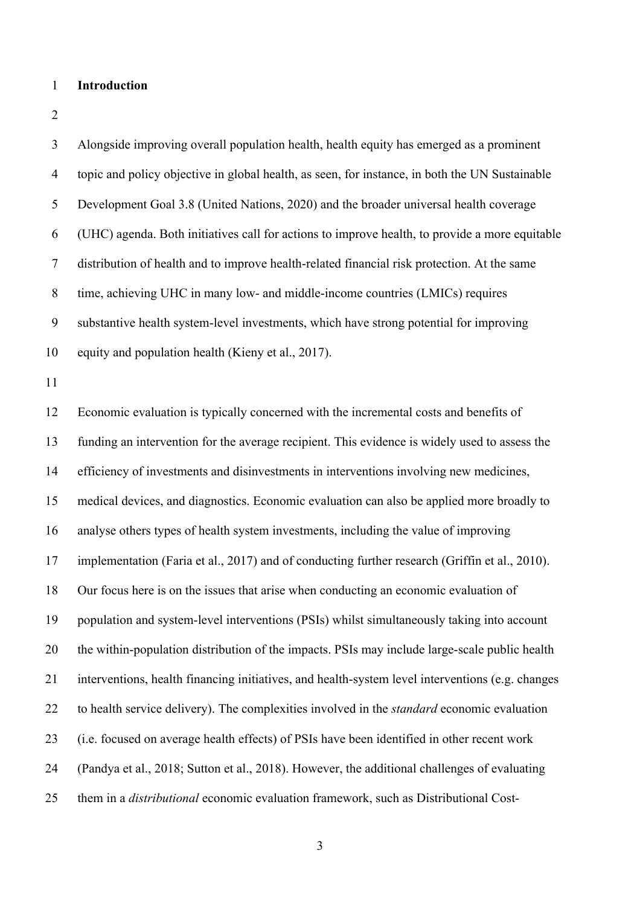#### **Introduction**

 Alongside improving overall population health, health equity has emerged as a prominent topic and policy objective in global health, as seen, for instance, in both the UN Sustainable Development Goal 3.8 (United Nations, 2020) and the broader universal health coverage (UHC) agenda. Both initiatives call for actions to improve health, to provide a more equitable distribution of health and to improve health-related financial risk protection. At the same time, achieving UHC in many low- and middle-income countries (LMICs) requires substantive health system-level investments, which have strong potential for improving equity and population health (Kieny et al., 2017). Economic evaluation is typically concerned with the incremental costs and benefits of funding an intervention for the average recipient. This evidence is widely used to assess the efficiency of investments and disinvestments in interventions involving new medicines, medical devices, and diagnostics. Economic evaluation can also be applied more broadly to analyse others types of health system investments, including the value of improving implementation (Faria et al., 2017) and of conducting further research (Griffin et al., 2010). Our focus here is on the issues that arise when conducting an economic evaluation of population and system-level interventions (PSIs) whilst simultaneously taking into account the within-population distribution of the impacts. PSIs may include large-scale public health interventions, health financing initiatives, and health-system level interventions (e.g. changes to health service delivery). The complexities involved in the *standard* economic evaluation (i.e. focused on average health effects) of PSIs have been identified in other recent work (Pandya et al., 2018; Sutton et al., 2018). However, the additional challenges of evaluating them in a *distributional* economic evaluation framework, such as Distributional Cost-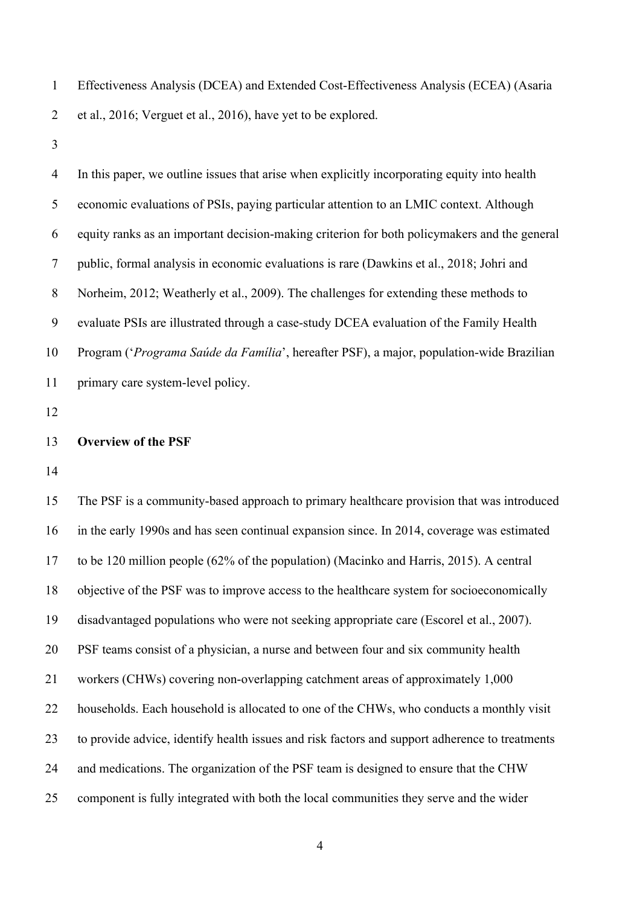Effectiveness Analysis (DCEA) and Extended Cost-Effectiveness Analysis (ECEA) (Asaria et al., 2016; Verguet et al., 2016), have yet to be explored.

 In this paper, we outline issues that arise when explicitly incorporating equity into health economic evaluations of PSIs, paying particular attention to an LMIC context. Although equity ranks as an important decision-making criterion for both policymakers and the general public, formal analysis in economic evaluations is rare (Dawkins et al., 2018; Johri and Norheim, 2012; Weatherly et al., 2009). The challenges for extending these methods to evaluate PSIs are illustrated through a case-study DCEA evaluation of the Family Health Program ('*Programa Saúde da Família*', hereafter PSF), a major, population-wide Brazilian primary care system-level policy.

#### **Overview of the PSF**

 The PSF is a community-based approach to primary healthcare provision that was introduced in the early 1990s and has seen continual expansion since. In 2014, coverage was estimated to be 120 million people (62% of the population) (Macinko and Harris, 2015). A central objective of the PSF was to improve access to the healthcare system for socioeconomically disadvantaged populations who were not seeking appropriate care (Escorel et al., 2007). PSF teams consist of a physician, a nurse and between four and six community health workers (CHWs) covering non-overlapping catchment areas of approximately 1,000 22 households. Each household is allocated to one of the CHWs, who conducts a monthly visit to provide advice, identify health issues and risk factors and support adherence to treatments 24 and medications. The organization of the PSF team is designed to ensure that the CHW component is fully integrated with both the local communities they serve and the wider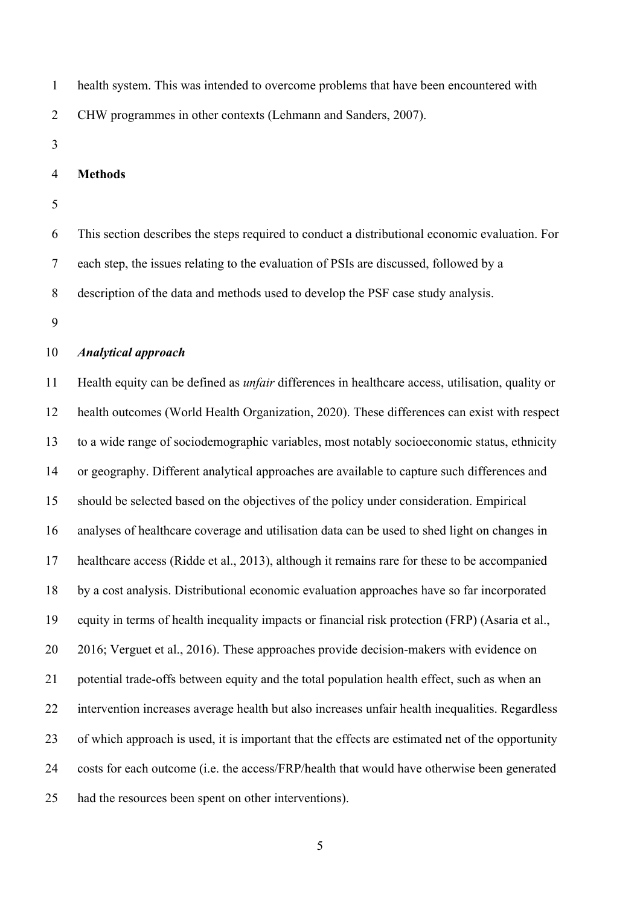- health system. This was intended to overcome problems that have been encountered with CHW programmes in other contexts (Lehmann and Sanders, 2007).
- 

#### **Methods**

 This section describes the steps required to conduct a distributional economic evaluation. For each step, the issues relating to the evaluation of PSIs are discussed, followed by a description of the data and methods used to develop the PSF case study analysis.

#### *Analytical approach*

 Health equity can be defined as *unfair* differences in healthcare access, utilisation, quality or health outcomes (World Health Organization, 2020). These differences can exist with respect to a wide range of sociodemographic variables, most notably socioeconomic status, ethnicity or geography. Different analytical approaches are available to capture such differences and should be selected based on the objectives of the policy under consideration. Empirical analyses of healthcare coverage and utilisation data can be used to shed light on changes in healthcare access (Ridde et al., 2013), although it remains rare for these to be accompanied by a cost analysis. Distributional economic evaluation approaches have so far incorporated equity in terms of health inequality impacts or financial risk protection (FRP) (Asaria et al., 2016; Verguet et al., 2016). These approaches provide decision-makers with evidence on potential trade-offs between equity and the total population health effect, such as when an intervention increases average health but also increases unfair health inequalities. Regardless of which approach is used, it is important that the effects are estimated net of the opportunity costs for each outcome (i.e. the access/FRP/health that would have otherwise been generated had the resources been spent on other interventions).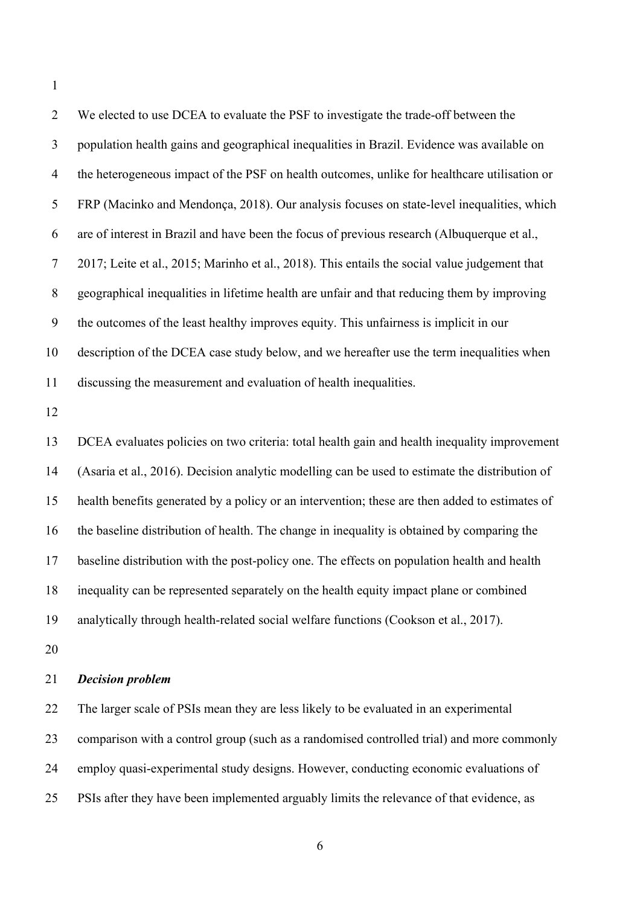| $\overline{2}$ | We elected to use DCEA to evaluate the PSF to investigate the trade-off between the            |
|----------------|------------------------------------------------------------------------------------------------|
| 3              | population health gains and geographical inequalities in Brazil. Evidence was available on     |
| $\overline{4}$ | the heterogeneous impact of the PSF on health outcomes, unlike for healthcare utilisation or   |
| 5              | FRP (Macinko and Mendonça, 2018). Our analysis focuses on state-level inequalities, which      |
| 6              | are of interest in Brazil and have been the focus of previous research (Albuquerque et al.,    |
| $\tau$         | 2017; Leite et al., 2015; Marinho et al., 2018). This entails the social value judgement that  |
| $\, 8$         | geographical inequalities in lifetime health are unfair and that reducing them by improving    |
| 9              | the outcomes of the least healthy improves equity. This unfairness is implicit in our          |
| 10             | description of the DCEA case study below, and we hereafter use the term inequalities when      |
| 11             | discussing the measurement and evaluation of health inequalities.                              |
| 12             |                                                                                                |
| 13             | DCEA evaluates policies on two criteria: total health gain and health inequality improvement   |
| 14             | (Asaria et al., 2016). Decision analytic modelling can be used to estimate the distribution of |
| 15             | health benefits generated by a policy or an intervention; these are then added to estimates of |
| 16             | the baseline distribution of health. The change in inequality is obtained by comparing the     |

baseline distribution with the post-policy one. The effects on population health and health

inequality can be represented separately on the health equity impact plane or combined

analytically through health-related social welfare functions (Cookson et al., 2017).

# *Decision problem*

 The larger scale of PSIs mean they are less likely to be evaluated in an experimental comparison with a control group (such as a randomised controlled trial) and more commonly employ quasi-experimental study designs. However, conducting economic evaluations of PSIs after they have been implemented arguably limits the relevance of that evidence, as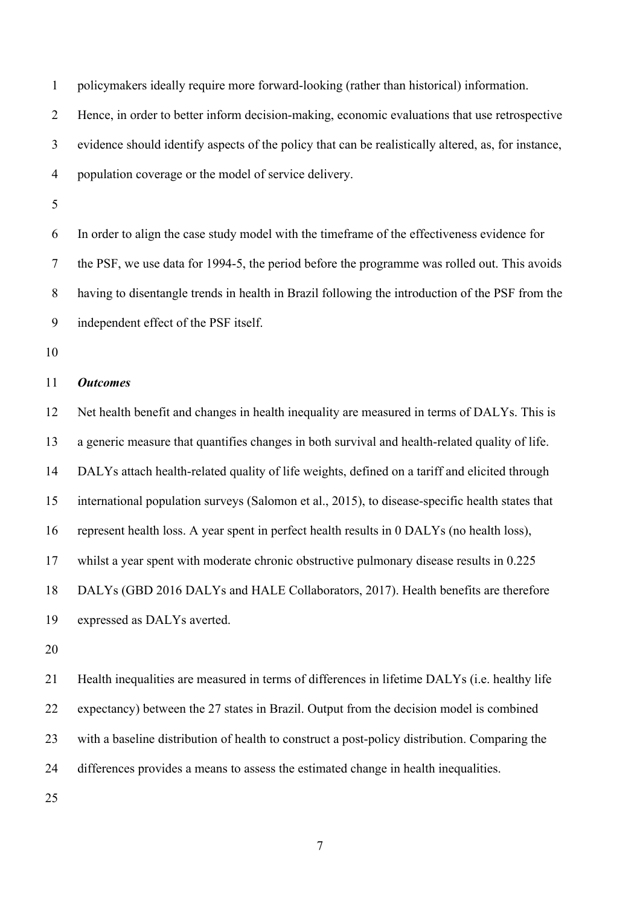policymakers ideally require more forward-looking (rather than historical) information.

Hence, in order to better inform decision-making, economic evaluations that use retrospective

evidence should identify aspects of the policy that can be realistically altered, as, for instance,

population coverage or the model of service delivery.

 In order to align the case study model with the timeframe of the effectiveness evidence for the PSF, we use data for 1994-5, the period before the programme was rolled out. This avoids having to disentangle trends in health in Brazil following the introduction of the PSF from the independent effect of the PSF itself.

## *Outcomes*

 Net health benefit and changes in health inequality are measured in terms of DALYs. This is a generic measure that quantifies changes in both survival and health-related quality of life. DALYs attach health-related quality of life weights, defined on a tariff and elicited through international population surveys (Salomon et al., 2015), to disease-specific health states that represent health loss. A year spent in perfect health results in 0 DALYs (no health loss), whilst a year spent with moderate chronic obstructive pulmonary disease results in 0.225 DALYs (GBD 2016 DALYs and HALE Collaborators, 2017). Health benefits are therefore expressed as DALYs averted.

 Health inequalities are measured in terms of differences in lifetime DALYs (i.e. healthy life expectancy) between the 27 states in Brazil. Output from the decision model is combined with a baseline distribution of health to construct a post-policy distribution. Comparing the differences provides a means to assess the estimated change in health inequalities.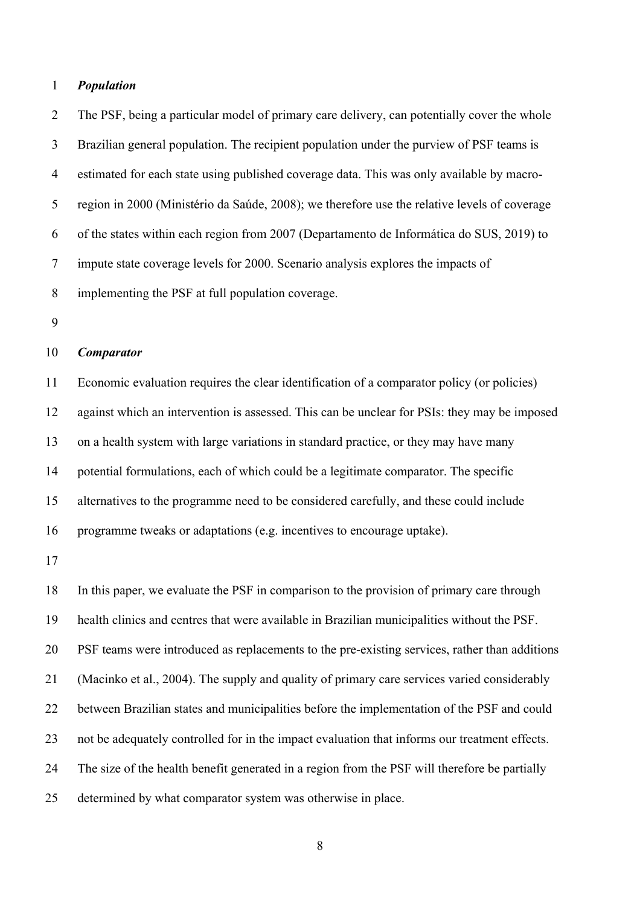#### *Population*

 The PSF, being a particular model of primary care delivery, can potentially cover the whole Brazilian general population. The recipient population under the purview of PSF teams is estimated for each state using published coverage data. This was only available by macro- region in 2000 (Ministério da Saúde, 2008); we therefore use the relative levels of coverage of the states within each region from 2007 (Departamento de Informática do SUS, 2019) to impute state coverage levels for 2000. Scenario analysis explores the impacts of implementing the PSF at full population coverage.

## *Comparator*

 Economic evaluation requires the clear identification of a comparator policy (or policies) against which an intervention is assessed. This can be unclear for PSIs: they may be imposed on a health system with large variations in standard practice, or they may have many potential formulations, each of which could be a legitimate comparator. The specific alternatives to the programme need to be considered carefully, and these could include programme tweaks or adaptations (e.g. incentives to encourage uptake).

 In this paper, we evaluate the PSF in comparison to the provision of primary care through health clinics and centres that were available in Brazilian municipalities without the PSF. PSF teams were introduced as replacements to the pre-existing services, rather than additions (Macinko et al., 2004). The supply and quality of primary care services varied considerably between Brazilian states and municipalities before the implementation of the PSF and could not be adequately controlled for in the impact evaluation that informs our treatment effects. The size of the health benefit generated in a region from the PSF will therefore be partially determined by what comparator system was otherwise in place.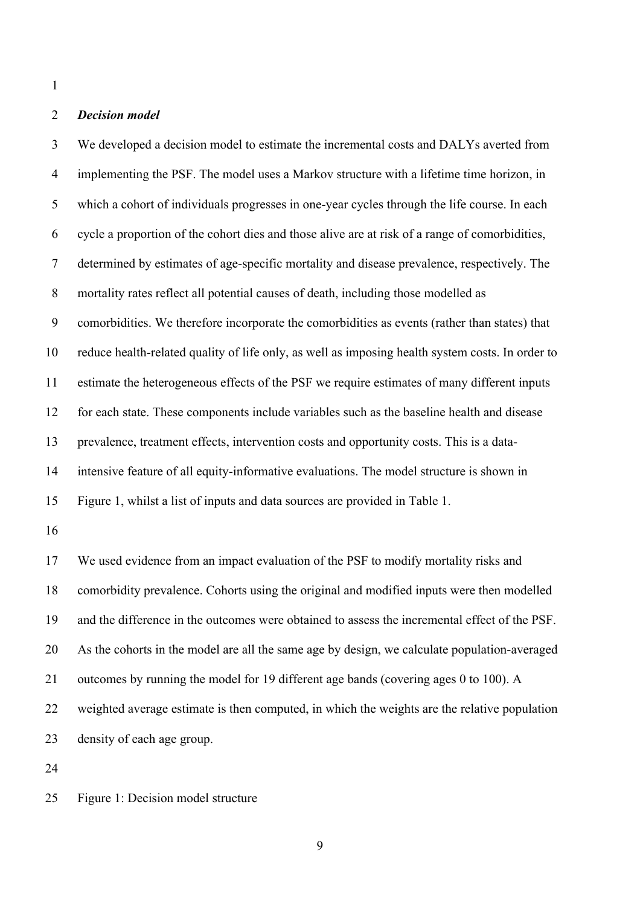# *Decision model*

 We developed a decision model to estimate the incremental costs and DALYs averted from implementing the PSF. The model uses a Markov structure with a lifetime time horizon, in which a cohort of individuals progresses in one-year cycles through the life course. In each cycle a proportion of the cohort dies and those alive are at risk of a range of comorbidities, determined by estimates of age-specific mortality and disease prevalence, respectively. The mortality rates reflect all potential causes of death, including those modelled as comorbidities. We therefore incorporate the comorbidities as events (rather than states) that reduce health-related quality of life only, as well as imposing health system costs. In order to estimate the heterogeneous effects of the PSF we require estimates of many different inputs for each state. These components include variables such as the baseline health and disease prevalence, treatment effects, intervention costs and opportunity costs. This is a data- intensive feature of all equity-informative evaluations. The model structure is shown in Figure 1, whilst a list of inputs and data sources are provided in Table 1. We used evidence from an impact evaluation of the PSF to modify mortality risks and comorbidity prevalence. Cohorts using the original and modified inputs were then modelled and the difference in the outcomes were obtained to assess the incremental effect of the PSF. As the cohorts in the model are all the same age by design, we calculate population-averaged outcomes by running the model for 19 different age bands (covering ages 0 to 100). A weighted average estimate is then computed, in which the weights are the relative population density of each age group.

Figure 1: Decision model structure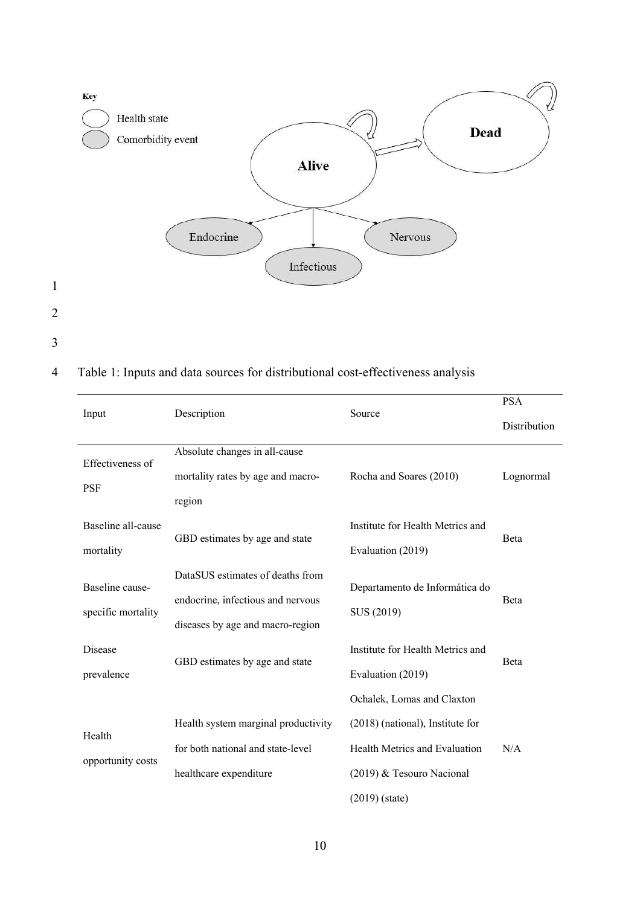

4 Table 1: Inputs and data sources for distributional cost-effectiveness analysis

| Input              | Description                         | Source                           | <b>PSA</b>   |
|--------------------|-------------------------------------|----------------------------------|--------------|
|                    |                                     |                                  | Distribution |
|                    | Absolute changes in all-cause       |                                  |              |
| Effectiveness of   | mortality rates by age and macro-   | Rocha and Soares (2010)          | Lognormal    |
| <b>PSF</b>         | region                              |                                  |              |
| Baseline all-cause |                                     | Institute for Health Metrics and |              |
| mortality          | GBD estimates by age and state      | Evaluation (2019)                | Beta         |
|                    | DataSUS estimates of deaths from    |                                  |              |
| Baseline cause-    | endocrine, infectious and nervous   | Departamento de Informática do   | <b>B</b> eta |
| specific mortality | diseases by age and macro-region    | SUS (2019)                       |              |
| Disease            |                                     | Institute for Health Metrics and |              |
| prevalence         | GBD estimates by age and state      | Evaluation (2019)                | Beta         |
|                    |                                     | Ochalek, Lomas and Claxton       |              |
|                    | Health system marginal productivity | (2018) (national), Institute for |              |
| Health             | for both national and state-level   | Health Metrics and Evaluation    | N/A          |
| opportunity costs  | healthcare expenditure              | (2019) & Tesouro Nacional        |              |
|                    |                                     | $(2019)$ (state)                 |              |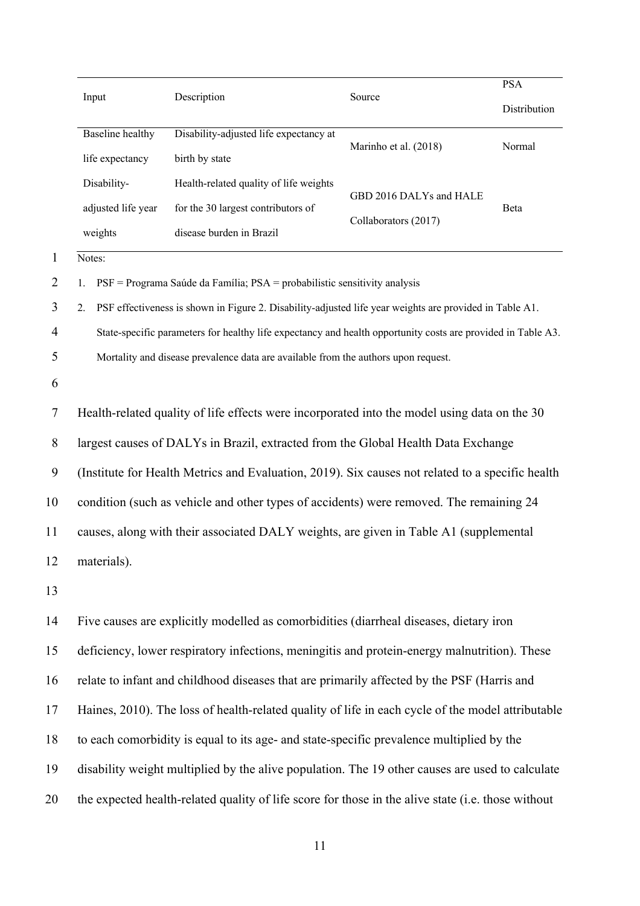|                | Input                                                                                            | Description                                                                                                  | Source                  | <b>PSA</b>   |
|----------------|--------------------------------------------------------------------------------------------------|--------------------------------------------------------------------------------------------------------------|-------------------------|--------------|
|                |                                                                                                  |                                                                                                              |                         | Distribution |
|                | <b>Baseline</b> healthy                                                                          | Disability-adjusted life expectancy at                                                                       | Marinho et al. (2018)   | Normal       |
|                | life expectancy                                                                                  | birth by state                                                                                               |                         |              |
|                | Disability-                                                                                      | Health-related quality of life weights                                                                       | GBD 2016 DALYs and HALE |              |
|                | adjusted life year                                                                               | for the 30 largest contributors of                                                                           | Collaborators (2017)    | Beta         |
|                | weights                                                                                          | disease burden in Brazil                                                                                     |                         |              |
| 1              | Notes:                                                                                           |                                                                                                              |                         |              |
| $\overline{2}$ |                                                                                                  | PSF = Programa Saúde da Família; PSA = probabilistic sensitivity analysis                                    |                         |              |
| 3              | 2.                                                                                               | PSF effectiveness is shown in Figure 2. Disability-adjusted life year weights are provided in Table A1.      |                         |              |
| $\overline{4}$ |                                                                                                  | State-specific parameters for healthy life expectancy and health opportunity costs are provided in Table A3. |                         |              |
| 5              |                                                                                                  | Mortality and disease prevalence data are available from the authors upon request.                           |                         |              |
| 6              |                                                                                                  |                                                                                                              |                         |              |
| 7              |                                                                                                  | Health-related quality of life effects were incorporated into the model using data on the 30                 |                         |              |
| 8              | largest causes of DALYs in Brazil, extracted from the Global Health Data Exchange                |                                                                                                              |                         |              |
| 9              | (Institute for Health Metrics and Evaluation, 2019). Six causes not related to a specific health |                                                                                                              |                         |              |
| 10             | condition (such as vehicle and other types of accidents) were removed. The remaining 24          |                                                                                                              |                         |              |
| 11             |                                                                                                  | causes, along with their associated DALY weights, are given in Table A1 (supplemental                        |                         |              |
| 12             | materials).                                                                                      |                                                                                                              |                         |              |
| 13             |                                                                                                  |                                                                                                              |                         |              |
| 14             |                                                                                                  | Five causes are explicitly modelled as comorbidities (diarrheal diseases, dietary iron                       |                         |              |
| 15             |                                                                                                  | deficiency, lower respiratory infections, meningitis and protein-energy malnutrition). These                 |                         |              |
| 16             |                                                                                                  | relate to infant and childhood diseases that are primarily affected by the PSF (Harris and                   |                         |              |
| 17             |                                                                                                  | Haines, 2010). The loss of health-related quality of life in each cycle of the model attributable            |                         |              |
| 18             |                                                                                                  | to each comorbidity is equal to its age- and state-specific prevalence multiplied by the                     |                         |              |
| 19             |                                                                                                  | disability weight multiplied by the alive population. The 19 other causes are used to calculate              |                         |              |
| 20             |                                                                                                  | the expected health-related quality of life score for those in the alive state (i.e. those without           |                         |              |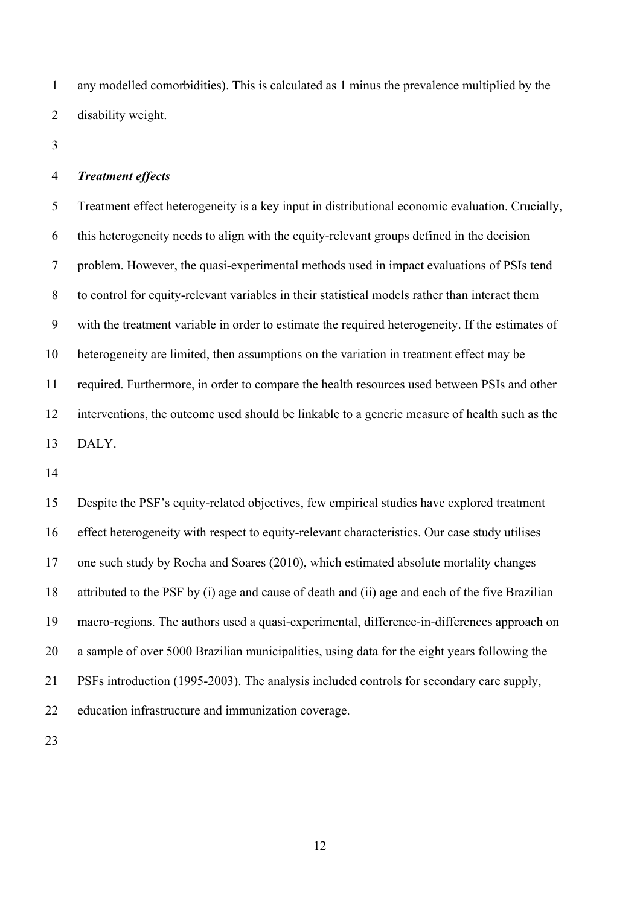any modelled comorbidities). This is calculated as 1 minus the prevalence multiplied by the disability weight.

#### *Treatment effects*

 Treatment effect heterogeneity is a key input in distributional economic evaluation. Crucially, this heterogeneity needs to align with the equity-relevant groups defined in the decision problem. However, the quasi-experimental methods used in impact evaluations of PSIs tend to control for equity-relevant variables in their statistical models rather than interact them with the treatment variable in order to estimate the required heterogeneity. If the estimates of heterogeneity are limited, then assumptions on the variation in treatment effect may be required. Furthermore, in order to compare the health resources used between PSIs and other interventions, the outcome used should be linkable to a generic measure of health such as the DALY.

 Despite the PSF's equity-related objectives, few empirical studies have explored treatment effect heterogeneity with respect to equity-relevant characteristics. Our case study utilises one such study by Rocha and Soares (2010), which estimated absolute mortality changes attributed to the PSF by (i) age and cause of death and (ii) age and each of the five Brazilian macro-regions. The authors used a quasi-experimental, difference-in-differences approach on a sample of over 5000 Brazilian municipalities, using data for the eight years following the PSFs introduction (1995-2003). The analysis included controls for secondary care supply, education infrastructure and immunization coverage.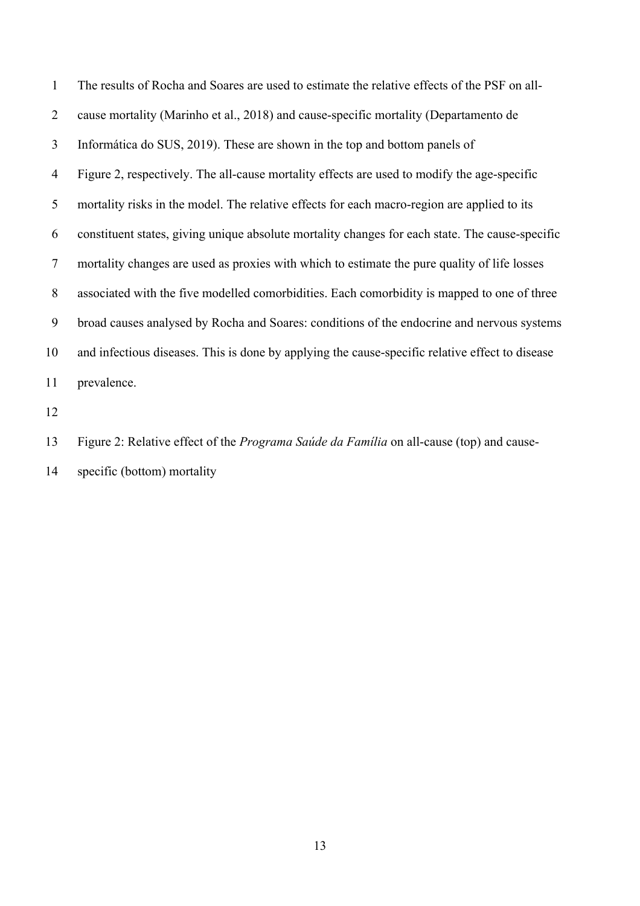| 1  | The results of Rocha and Soares are used to estimate the relative effects of the PSF on all-    |
|----|-------------------------------------------------------------------------------------------------|
| 2  | cause mortality (Marinho et al., 2018) and cause-specific mortality (Departamento de            |
| 3  | Informática do SUS, 2019). These are shown in the top and bottom panels of                      |
| 4  | Figure 2, respectively. The all-cause mortality effects are used to modify the age-specific     |
| 5  | mortality risks in the model. The relative effects for each macro-region are applied to its     |
| 6  | constituent states, giving unique absolute mortality changes for each state. The cause-specific |
| 7  | mortality changes are used as proxies with which to estimate the pure quality of life losses    |
| 8  | associated with the five modelled comorbidities. Each comorbidity is mapped to one of three     |
| 9  | broad causes analysed by Rocha and Soares: conditions of the endocrine and nervous systems      |
| 10 | and infectious diseases. This is done by applying the cause-specific relative effect to disease |
| 11 | prevalence.                                                                                     |
|    |                                                                                                 |

Figure 2: Relative effect of the *Programa Saúde da Família* on all-cause (top) and cause-

specific (bottom) mortality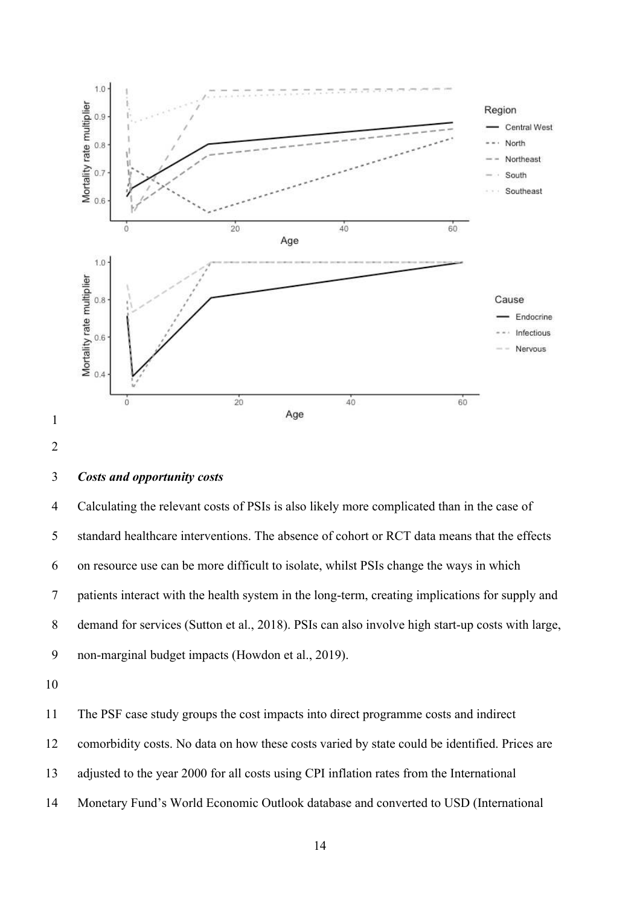

## *Costs and opportunity costs*

 Calculating the relevant costs of PSIs is also likely more complicated than in the case of standard healthcare interventions. The absence of cohort or RCT data means that the effects on resource use can be more difficult to isolate, whilst PSIs change the ways in which patients interact with the health system in the long-term, creating implications for supply and demand for services (Sutton et al., 2018). PSIs can also involve high start-up costs with large, non-marginal budget impacts (Howdon et al., 2019).

The PSF case study groups the cost impacts into direct programme costs and indirect

comorbidity costs. No data on how these costs varied by state could be identified. Prices are

- adjusted to the year 2000 for all costs using CPI inflation rates from the International
- Monetary Fund's World Economic Outlook database and converted to USD (International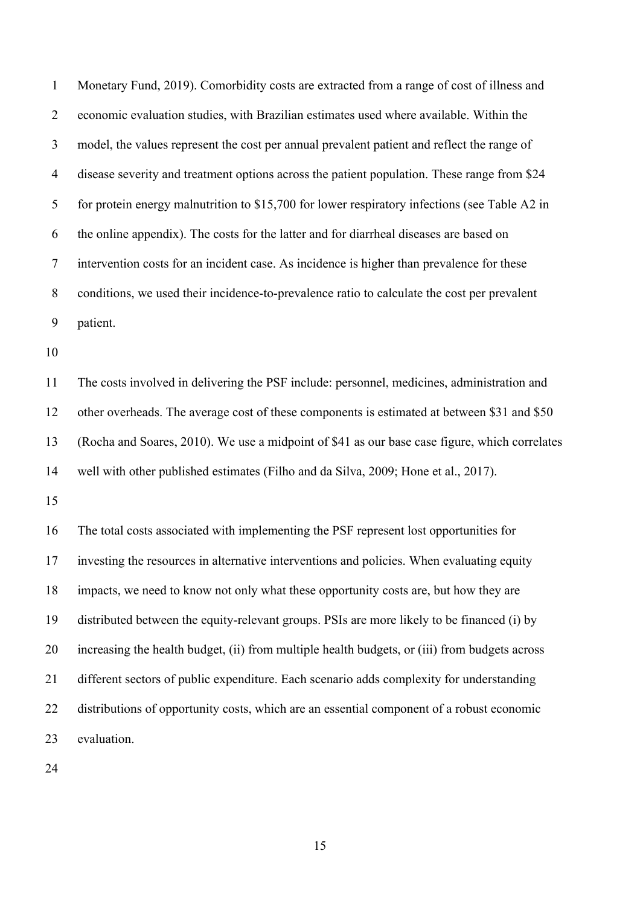Monetary Fund, 2019). Comorbidity costs are extracted from a range of cost of illness and economic evaluation studies, with Brazilian estimates used where available. Within the model, the values represent the cost per annual prevalent patient and reflect the range of disease severity and treatment options across the patient population. These range from \$24 5 for protein energy malnutrition to \$15,700 for lower respiratory infections (see Table A2 in the online appendix). The costs for the latter and for diarrheal diseases are based on intervention costs for an incident case. As incidence is higher than prevalence for these conditions, we used their incidence-to-prevalence ratio to calculate the cost per prevalent patient.

 The costs involved in delivering the PSF include: personnel, medicines, administration and other overheads. The average cost of these components is estimated at between \$31 and \$50 (Rocha and Soares, 2010). We use a midpoint of \$41 as our base case figure, which correlates well with other published estimates (Filho and da Silva, 2009; Hone et al., 2017).

 The total costs associated with implementing the PSF represent lost opportunities for investing the resources in alternative interventions and policies. When evaluating equity impacts, we need to know not only what these opportunity costs are, but how they are distributed between the equity-relevant groups. PSIs are more likely to be financed (i) by increasing the health budget, (ii) from multiple health budgets, or (iii) from budgets across different sectors of public expenditure. Each scenario adds complexity for understanding distributions of opportunity costs, which are an essential component of a robust economic evaluation.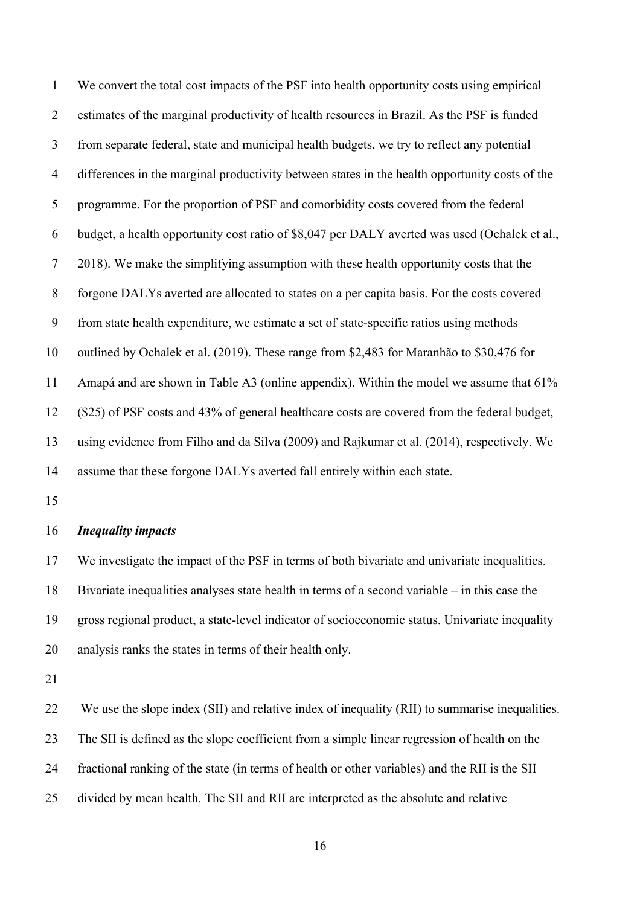We convert the total cost impacts of the PSF into health opportunity costs using empirical estimates of the marginal productivity of health resources in Brazil. As the PSF is funded from separate federal, state and municipal health budgets, we try to reflect any potential differences in the marginal productivity between states in the health opportunity costs of the programme. For the proportion of PSF and comorbidity costs covered from the federal budget, a health opportunity cost ratio of \$8,047 per DALY averted was used (Ochalek et al., 2018). We make the simplifying assumption with these health opportunity costs that the forgone DALYs averted are allocated to states on a per capita basis. For the costs covered from state health expenditure, we estimate a set of state-specific ratios using methods outlined by Ochalek et al. (2019). These range from \$2,483 for Maranhão to \$30,476 for Amapá and are shown in Table A3 (online appendix). Within the model we assume that 61% (\$25) of PSF costs and 43% of general healthcare costs are covered from the federal budget, using evidence from Filho and da Silva (2009) and Rajkumar et al. (2014), respectively. We assume that these forgone DALYs averted fall entirely within each state.

#### *Inequality impacts*

 We investigate the impact of the PSF in terms of both bivariate and univariate inequalities. Bivariate inequalities analyses state health in terms of a second variable – in this case the gross regional product, a state-level indicator of socioeconomic status. Univariate inequality analysis ranks the states in terms of their health only.

22 We use the slope index (SII) and relative index of inequality (RII) to summarise inequalities. The SII is defined as the slope coefficient from a simple linear regression of health on the fractional ranking of the state (in terms of health or other variables) and the RII is the SII divided by mean health. The SII and RII are interpreted as the absolute and relative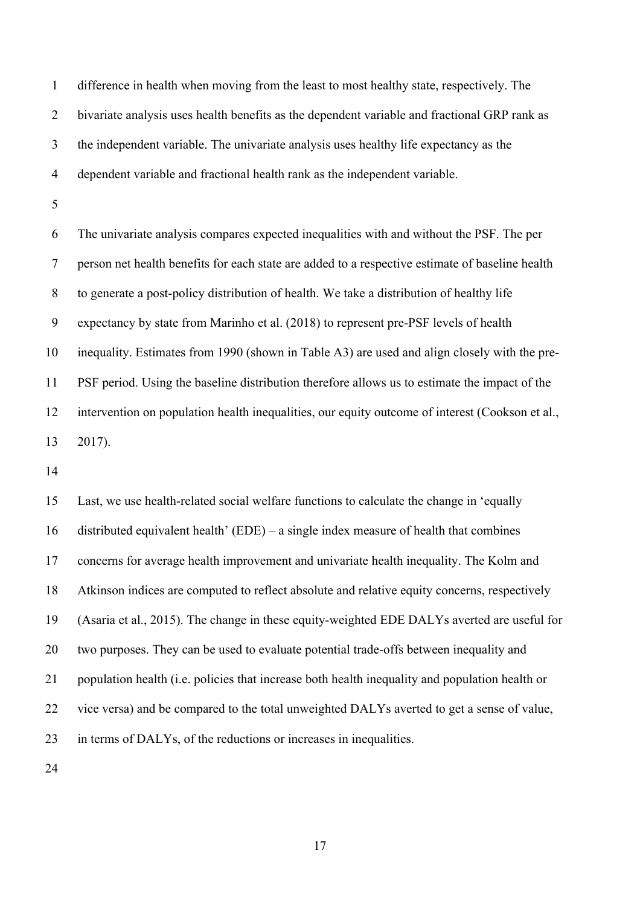difference in health when moving from the least to most healthy state, respectively. The bivariate analysis uses health benefits as the dependent variable and fractional GRP rank as the independent variable. The univariate analysis uses healthy life expectancy as the dependent variable and fractional health rank as the independent variable.

 The univariate analysis compares expected inequalities with and without the PSF. The per person net health benefits for each state are added to a respective estimate of baseline health to generate a post-policy distribution of health. We take a distribution of healthy life expectancy by state from Marinho et al. (2018) to represent pre-PSF levels of health inequality. Estimates from 1990 (shown in Table A3) are used and align closely with the pre- PSF period. Using the baseline distribution therefore allows us to estimate the impact of the intervention on population health inequalities, our equity outcome of interest (Cookson et al., 2017).

 Last, we use health-related social welfare functions to calculate the change in 'equally distributed equivalent health' (EDE) – a single index measure of health that combines concerns for average health improvement and univariate health inequality. The Kolm and Atkinson indices are computed to reflect absolute and relative equity concerns, respectively (Asaria et al., 2015). The change in these equity-weighted EDE DALYs averted are useful for two purposes. They can be used to evaluate potential trade-offs between inequality and population health (i.e. policies that increase both health inequality and population health or vice versa) and be compared to the total unweighted DALYs averted to get a sense of value, in terms of DALYs, of the reductions or increases in inequalities.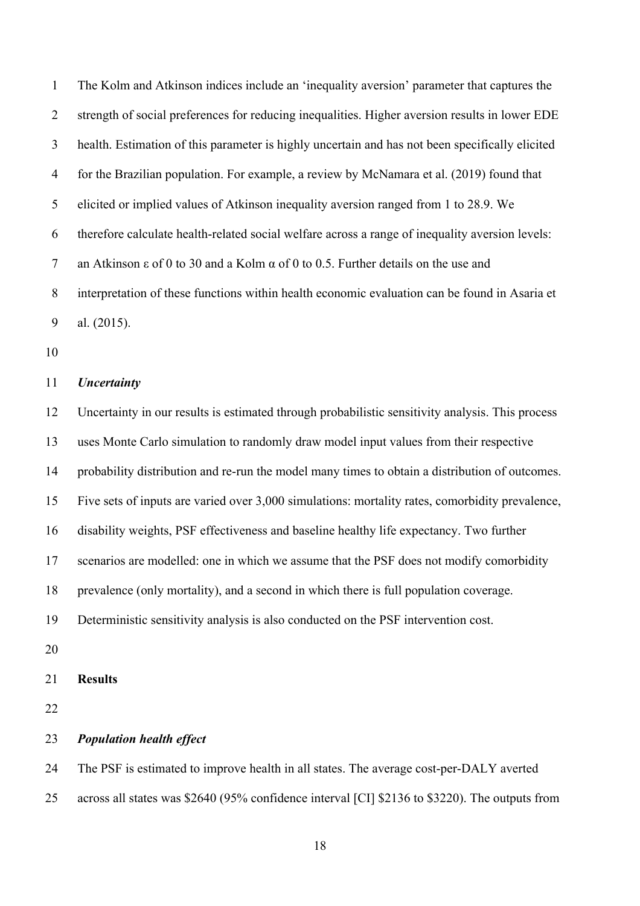The Kolm and Atkinson indices include an 'inequality aversion' parameter that captures the strength of social preferences for reducing inequalities. Higher aversion results in lower EDE health. Estimation of this parameter is highly uncertain and has not been specifically elicited for the Brazilian population. For example, a review by McNamara et al. (2019) found that elicited or implied values of Atkinson inequality aversion ranged from 1 to 28.9. We therefore calculate health-related social welfare across a range of inequality aversion levels: an Atkinson ε of 0 to 30 and a Kolm α of 0 to 0.5. Further details on the use and interpretation of these functions within health economic evaluation can be found in Asaria et al. (2015).

## *Uncertainty*

 Uncertainty in our results is estimated through probabilistic sensitivity analysis. This process uses Monte Carlo simulation to randomly draw model input values from their respective probability distribution and re-run the model many times to obtain a distribution of outcomes. Five sets of inputs are varied over 3,000 simulations: mortality rates, comorbidity prevalence, disability weights, PSF effectiveness and baseline healthy life expectancy. Two further scenarios are modelled: one in which we assume that the PSF does not modify comorbidity prevalence (only mortality), and a second in which there is full population coverage. Deterministic sensitivity analysis is also conducted on the PSF intervention cost. **Results**  *Population health effect*  The PSF is estimated to improve health in all states. The average cost-per-DALY averted

across all states was \$2640 (95% confidence interval [CI] \$2136 to \$3220). The outputs from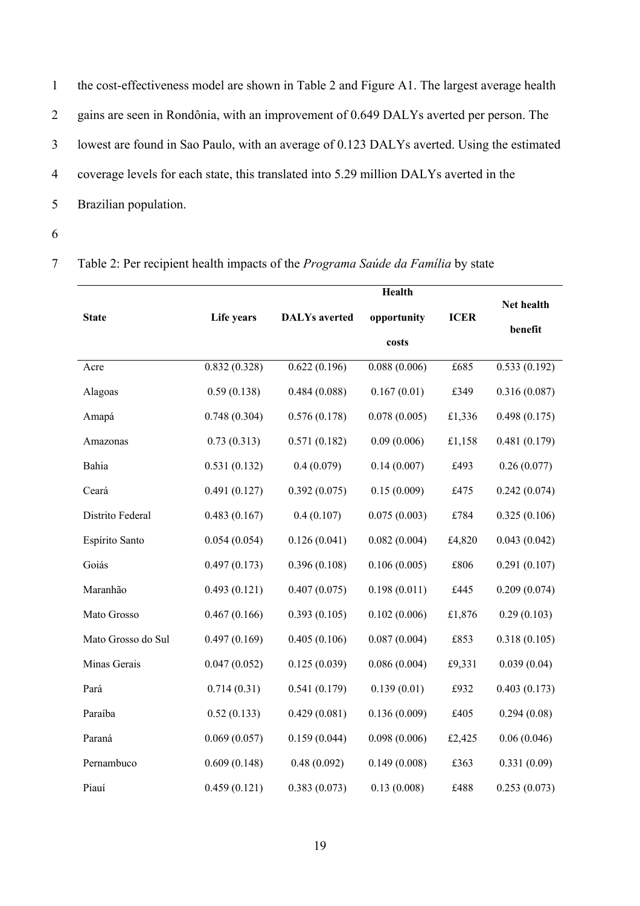|                | the cost-effectiveness model are shown in Table 2 and Figure A1. The largest average health |
|----------------|---------------------------------------------------------------------------------------------|
| $\overline{2}$ | gains are seen in Rondônia, with an improvement of 0.649 DALYs averted per person. The      |
| 3              | lowest are found in Sao Paulo, with an average of 0.123 DALYs averted. Using the estimated  |
| 4              | coverage levels for each state, this translated into 5.29 million DALYs averted in the      |
| 5              | Brazilian population.                                                                       |

7 Table 2: Per recipient health impacts of the *Programa Saúde da Família* by state

|                    |              |                      | Health       |             |              |
|--------------------|--------------|----------------------|--------------|-------------|--------------|
| <b>State</b>       | Life years   | <b>DALYs</b> averted | opportunity  | <b>ICER</b> | Net health   |
|                    |              |                      | costs        |             | benefit      |
| Acre               | 0.832(0.328) | 0.622(0.196)         | 0.088(0.006) | £685        | 0.533(0.192) |
| Alagoas            | 0.59(0.138)  | 0.484(0.088)         | 0.167(0.01)  | £349        | 0.316(0.087) |
| Amapá              | 0.748(0.304) | 0.576(0.178)         | 0.078(0.005) | £1,336      | 0.498(0.175) |
| Amazonas           | 0.73(0.313)  | 0.571(0.182)         | 0.09(0.006)  | £1,158      | 0.481(0.179) |
| Bahia              | 0.531(0.132) | 0.4(0.079)           | 0.14(0.007)  | £493        | 0.26(0.077)  |
| Ceará              | 0.491(0.127) | 0.392(0.075)         | 0.15(0.009)  | £475        | 0.242(0.074) |
| Distrito Federal   | 0.483(0.167) | 0.4(0.107)           | 0.075(0.003) | £784        | 0.325(0.106) |
| Espírito Santo     | 0.054(0.054) | 0.126(0.041)         | 0.082(0.004) | £4,820      | 0.043(0.042) |
| Goiás              | 0.497(0.173) | 0.396(0.108)         | 0.106(0.005) | £806        | 0.291(0.107) |
| Maranhão           | 0.493(0.121) | 0.407(0.075)         | 0.198(0.011) | £445        | 0.209(0.074) |
| Mato Grosso        | 0.467(0.166) | 0.393(0.105)         | 0.102(0.006) | £1,876      | 0.29(0.103)  |
| Mato Grosso do Sul | 0.497(0.169) | 0.405(0.106)         | 0.087(0.004) | £853        | 0.318(0.105) |
| Minas Gerais       | 0.047(0.052) | 0.125(0.039)         | 0.086(0.004) | £9,331      | 0.039(0.04)  |
| Pará               | 0.714(0.31)  | 0.541(0.179)         | 0.139(0.01)  | £932        | 0.403(0.173) |
| Paraíba            | 0.52(0.133)  | 0.429(0.081)         | 0.136(0.009) | £405        | 0.294(0.08)  |
| Paraná             | 0.069(0.057) | 0.159(0.044)         | 0.098(0.006) | £2,425      | 0.06(0.046)  |
| Pernambuco         | 0.609(0.148) | 0.48(0.092)          | 0.149(0.008) | £363        | 0.331(0.09)  |
| Piauí              | 0.459(0.121) | 0.383(0.073)         | 0.13(0.008)  | £488        | 0.253(0.073) |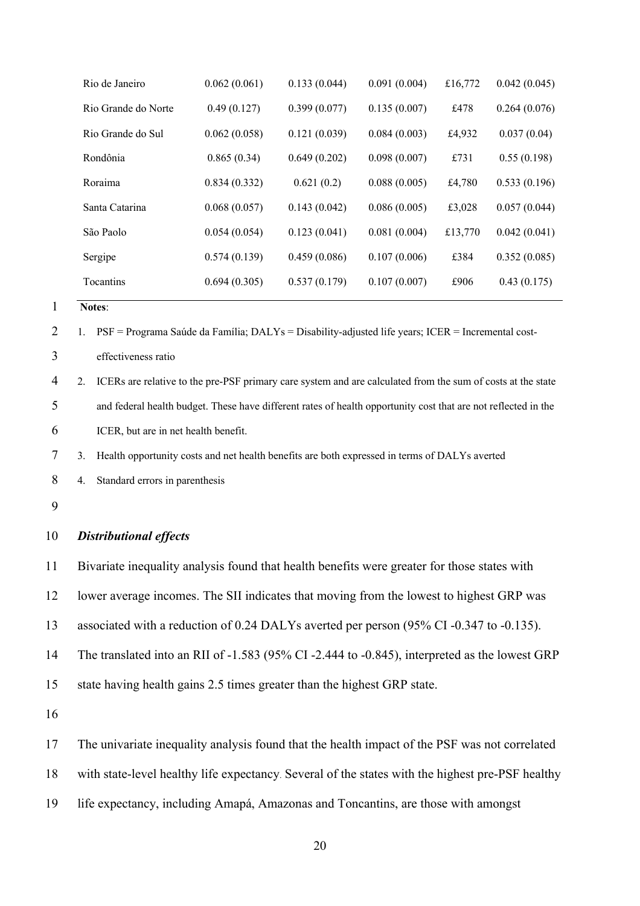| 0.062(0.061) | 0.133(0.044) | 0.091(0.004) | £16,772 | 0.042(0.045) |
|--------------|--------------|--------------|---------|--------------|
| 0.49(0.127)  | 0.399(0.077) | 0.135(0.007) | £478    | 0.264(0.076) |
| 0.062(0.058) | 0.121(0.039) | 0.084(0.003) | £4,932  | 0.037(0.04)  |
| 0.865(0.34)  | 0.649(0.202) | 0.098(0.007) | £731    | 0.55(0.198)  |
| 0.834(0.332) | 0.621(0.2)   | 0.088(0.005) | £4,780  | 0.533(0.196) |
| 0.068(0.057) | 0.143(0.042) | 0.086(0.005) | £3,028  | 0.057(0.044) |
| 0.054(0.054) | 0.123(0.041) | 0.081(0.004) | £13,770 | 0.042(0.041) |
| 0.574(0.139) | 0.459(0.086) | 0.107(0.006) | £384    | 0.352(0.085) |
| 0.694(0.305) | 0.537(0.179) | 0.107(0.007) | £906    | 0.43(0.175)  |
|              |              |              |         |              |

2 1. PSF = Programa Saúde da Família; DALYs = Disability-adjusted life years; ICER = Incremental cost-

effectiveness ratio

 2. ICERs are relative to the pre-PSF primary care system and are calculated from the sum of costs at the state and federal health budget. These have different rates of health opportunity cost that are not reflected in the ICER, but are in net health benefit.

3. Health opportunity costs and net health benefits are both expressed in terms of DALYs averted

4. Standard errors in parenthesis

## *Distributional effects*

Bivariate inequality analysis found that health benefits were greater for those states with

lower average incomes. The SII indicates that moving from the lowest to highest GRP was

associated with a reduction of 0.24 DALYs averted per person (95% CI -0.347 to -0.135).

The translated into an RII of -1.583 (95% CI -2.444 to -0.845), interpreted as the lowest GRP

state having health gains 2.5 times greater than the highest GRP state.

The univariate inequality analysis found that the health impact of the PSF was not correlated

with state-level healthy life expectancy. Several of the states with the highest pre-PSF healthy

life expectancy, including Amapá, Amazonas and Toncantins, are those with amongst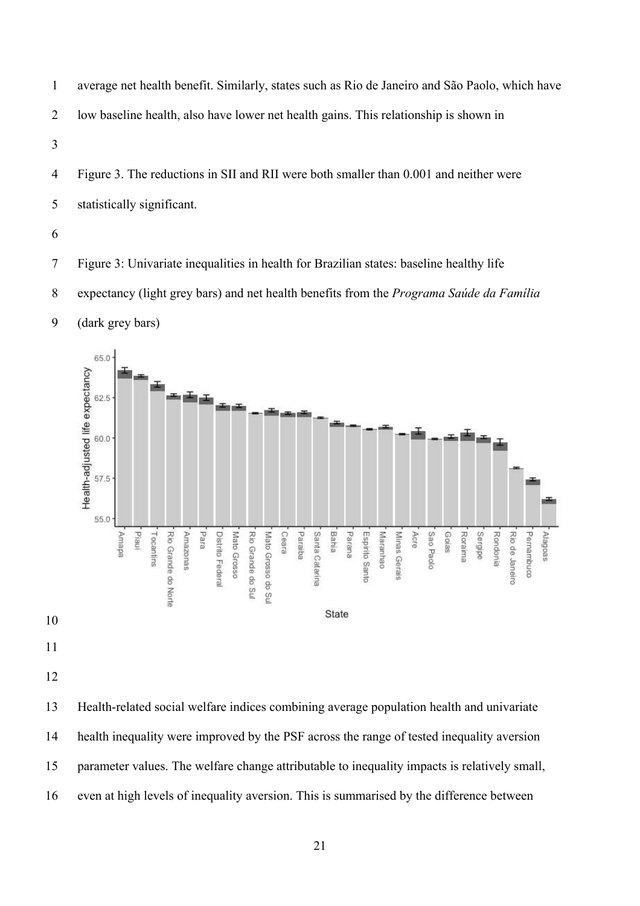- average net health benefit. Similarly, states such as Rio de Janeiro and São Paolo, which have low baseline health, also have lower net health gains. This relationship is shown in
- Figure 3. The reductions in SII and RII were both smaller than 0.001 and neither were statistically significant.
- 

(dark grey bars)

- Figure 3: Univariate inequalities in health for Brazilian states: baseline healthy life
- expectancy (light grey bars) and net health benefits from the *Programa Saúde da Família*



- 
- 
- 

 Health-related social welfare indices combining average population health and univariate health inequality were improved by the PSF across the range of tested inequality aversion parameter values. The welfare change attributable to inequality impacts is relatively small, even at high levels of inequality aversion. This is summarised by the difference between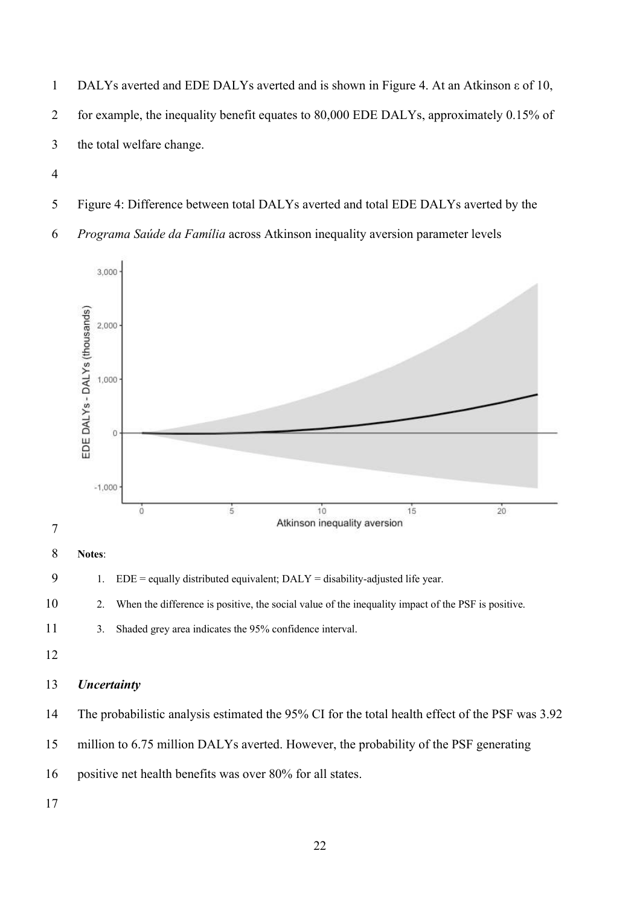DALYs averted and EDE DALYs averted and is shown in Figure 4. At an Atkinson ε of 10, for example, the inequality benefit equates to 80,000 EDE DALYs, approximately 0.15% of the total welfare change.

- 
- Figure 4: Difference between total DALYs averted and total EDE DALYs averted by the
- *Programa Saúde da Família* across Atkinson inequality aversion parameter levels



**Notes**:

9 1.  $EDE = \text{equally distributed equivalent; } DALY = \text{disability-adjusted life year.}$ 

2. When the difference is positive, the social value of the inequality impact of the PSF is positive.

- 3. Shaded grey area indicates the 95% confidence interval.
- 

## *Uncertainty*

The probabilistic analysis estimated the 95% CI for the total health effect of the PSF was 3.92

million to 6.75 million DALYs averted. However, the probability of the PSF generating

positive net health benefits was over 80% for all states.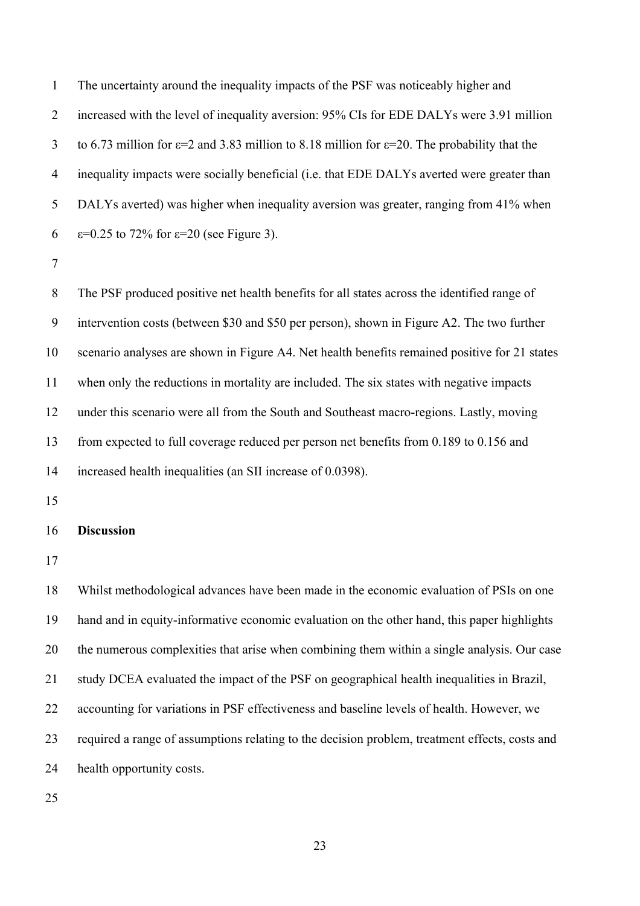The uncertainty around the inequality impacts of the PSF was noticeably higher and increased with the level of inequality aversion: 95% CIs for EDE DALYs were 3.91 million 3 to 6.73 million for  $\varepsilon$ =2 and 3.83 million to 8.18 million for  $\varepsilon$ =20. The probability that the inequality impacts were socially beneficial (i.e. that EDE DALYs averted were greater than DALYs averted) was higher when inequality aversion was greater, ranging from 41% when  $\varepsilon$ =0.25 to 72% for  $\varepsilon$ =20 (see Figure 3).

 The PSF produced positive net health benefits for all states across the identified range of intervention costs (between \$30 and \$50 per person), shown in Figure A2. The two further scenario analyses are shown in Figure A4. Net health benefits remained positive for 21 states when only the reductions in mortality are included. The six states with negative impacts under this scenario were all from the South and Southeast macro-regions. Lastly, moving from expected to full coverage reduced per person net benefits from 0.189 to 0.156 and increased health inequalities (an SII increase of 0.0398).

#### **Discussion**

 Whilst methodological advances have been made in the economic evaluation of PSIs on one hand and in equity-informative economic evaluation on the other hand, this paper highlights the numerous complexities that arise when combining them within a single analysis. Our case study DCEA evaluated the impact of the PSF on geographical health inequalities in Brazil, accounting for variations in PSF effectiveness and baseline levels of health. However, we required a range of assumptions relating to the decision problem, treatment effects, costs and health opportunity costs.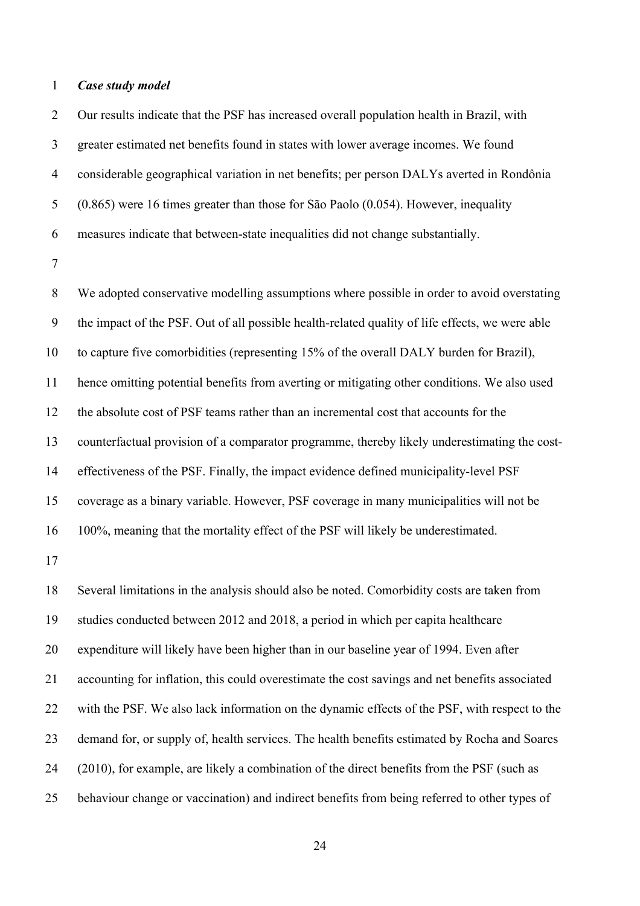#### *Case study model*

 Our results indicate that the PSF has increased overall population health in Brazil, with greater estimated net benefits found in states with lower average incomes. We found considerable geographical variation in net benefits; per person DALYs averted in Rondônia (0.865) were 16 times greater than those for São Paolo (0.054). However, inequality measures indicate that between-state inequalities did not change substantially.

 We adopted conservative modelling assumptions where possible in order to avoid overstating the impact of the PSF. Out of all possible health-related quality of life effects, we were able to capture five comorbidities (representing 15% of the overall DALY burden for Brazil), hence omitting potential benefits from averting or mitigating other conditions. We also used the absolute cost of PSF teams rather than an incremental cost that accounts for the counterfactual provision of a comparator programme, thereby likely underestimating the cost- effectiveness of the PSF. Finally, the impact evidence defined municipality-level PSF coverage as a binary variable. However, PSF coverage in many municipalities will not be 100%, meaning that the mortality effect of the PSF will likely be underestimated.

 Several limitations in the analysis should also be noted. Comorbidity costs are taken from studies conducted between 2012 and 2018, a period in which per capita healthcare expenditure will likely have been higher than in our baseline year of 1994. Even after accounting for inflation, this could overestimate the cost savings and net benefits associated with the PSF. We also lack information on the dynamic effects of the PSF, with respect to the demand for, or supply of, health services. The health benefits estimated by Rocha and Soares 24 (2010), for example, are likely a combination of the direct benefits from the PSF (such as behaviour change or vaccination) and indirect benefits from being referred to other types of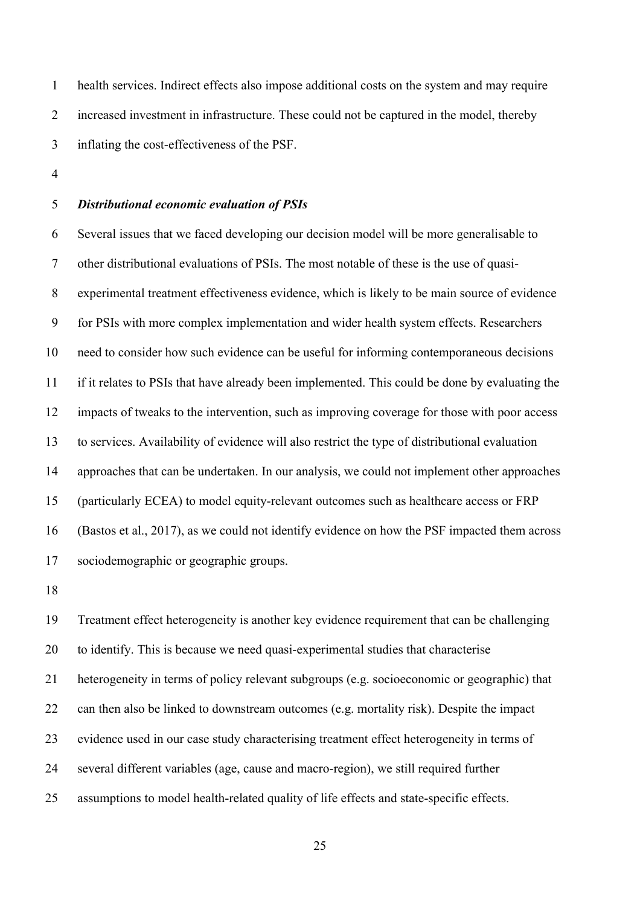health services. Indirect effects also impose additional costs on the system and may require increased investment in infrastructure. These could not be captured in the model, thereby inflating the cost-effectiveness of the PSF.

## *Distributional economic evaluation of PSIs*

 Several issues that we faced developing our decision model will be more generalisable to other distributional evaluations of PSIs. The most notable of these is the use of quasi- experimental treatment effectiveness evidence, which is likely to be main source of evidence for PSIs with more complex implementation and wider health system effects. Researchers need to consider how such evidence can be useful for informing contemporaneous decisions if it relates to PSIs that have already been implemented. This could be done by evaluating the impacts of tweaks to the intervention, such as improving coverage for those with poor access to services. Availability of evidence will also restrict the type of distributional evaluation approaches that can be undertaken. In our analysis, we could not implement other approaches (particularly ECEA) to model equity-relevant outcomes such as healthcare access or FRP (Bastos et al., 2017), as we could not identify evidence on how the PSF impacted them across sociodemographic or geographic groups.

 Treatment effect heterogeneity is another key evidence requirement that can be challenging to identify. This is because we need quasi-experimental studies that characterise heterogeneity in terms of policy relevant subgroups (e.g. socioeconomic or geographic) that can then also be linked to downstream outcomes (e.g. mortality risk). Despite the impact evidence used in our case study characterising treatment effect heterogeneity in terms of several different variables (age, cause and macro-region), we still required further assumptions to model health-related quality of life effects and state-specific effects.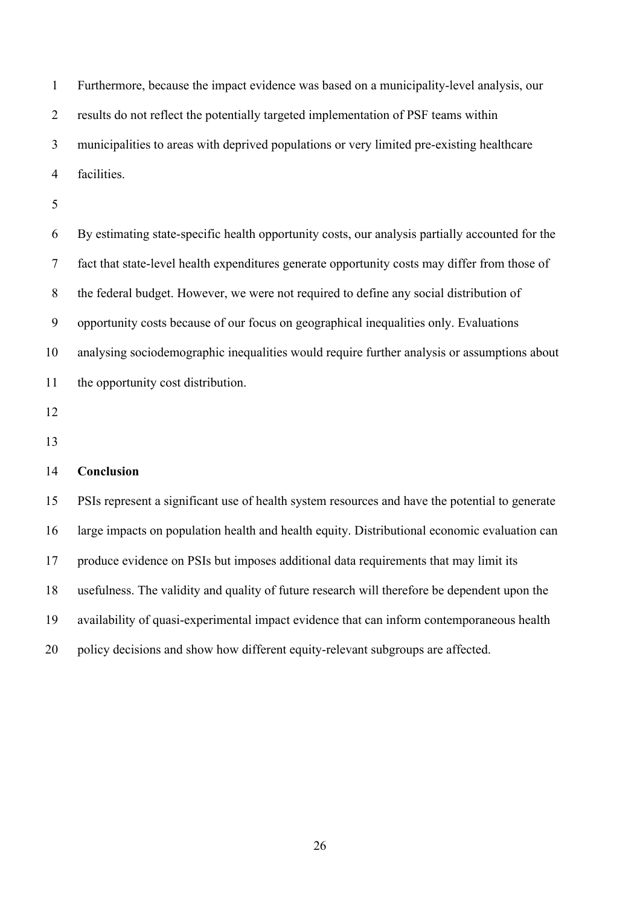Furthermore, because the impact evidence was based on a municipality-level analysis, our results do not reflect the potentially targeted implementation of PSF teams within municipalities to areas with deprived populations or very limited pre-existing healthcare facilities.

 By estimating state-specific health opportunity costs, our analysis partially accounted for the fact that state-level health expenditures generate opportunity costs may differ from those of the federal budget. However, we were not required to define any social distribution of opportunity costs because of our focus on geographical inequalities only. Evaluations analysing sociodemographic inequalities would require further analysis or assumptions about the opportunity cost distribution.

- 
- 

## **Conclusion**

 PSIs represent a significant use of health system resources and have the potential to generate large impacts on population health and health equity. Distributional economic evaluation can produce evidence on PSIs but imposes additional data requirements that may limit its usefulness. The validity and quality of future research will therefore be dependent upon the availability of quasi-experimental impact evidence that can inform contemporaneous health policy decisions and show how different equity-relevant subgroups are affected.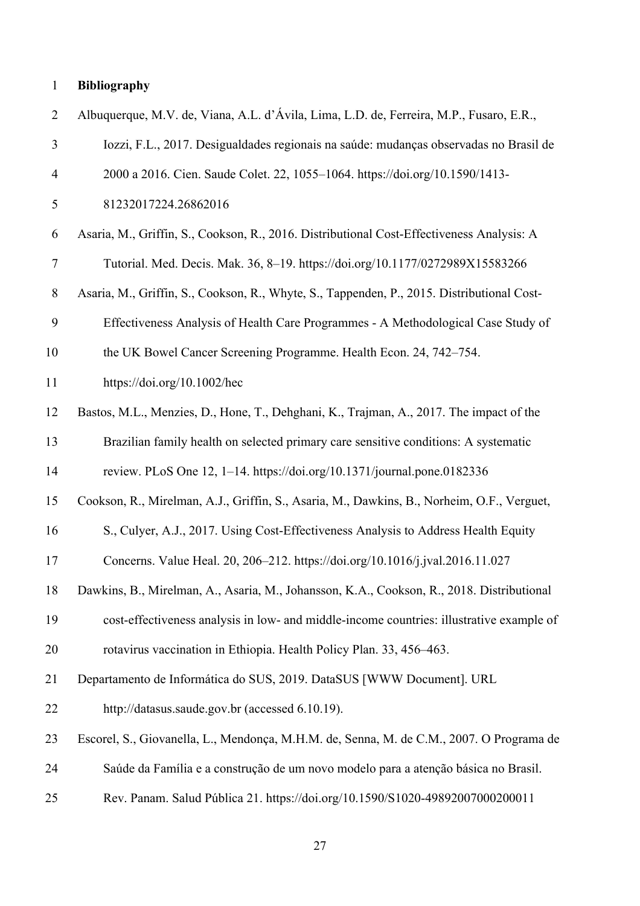# **Bibliography**

| $\overline{2}$ | Albuquerque, M.V. de, Viana, A.L. d'Ávila, Lima, L.D. de, Ferreira, M.P., Fusaro, E.R.,    |
|----------------|--------------------------------------------------------------------------------------------|
| $\overline{3}$ | Iozzi, F.L., 2017. Desigualdades regionais na saúde: mudanças observadas no Brasil de      |
| $\overline{4}$ | 2000 a 2016. Cien. Saude Colet. 22, 1055-1064. https://doi.org/10.1590/1413-               |
| 5              | 81232017224.26862016                                                                       |
| 6              | Asaria, M., Griffin, S., Cookson, R., 2016. Distributional Cost-Effectiveness Analysis: A  |
| $\tau$         | Tutorial. Med. Decis. Mak. 36, 8-19. https://doi.org/10.1177/0272989X15583266              |
| $8\,$          | Asaria, M., Griffin, S., Cookson, R., Whyte, S., Tappenden, P., 2015. Distributional Cost- |
| 9              | Effectiveness Analysis of Health Care Programmes - A Methodological Case Study of          |
| 10             | the UK Bowel Cancer Screening Programme. Health Econ. 24, 742–754.                         |
| 11             | https://doi.org/10.1002/hec                                                                |
| 12             | Bastos, M.L., Menzies, D., Hone, T., Dehghani, K., Trajman, A., 2017. The impact of the    |
| 13             | Brazilian family health on selected primary care sensitive conditions: A systematic        |
| 14             | review. PLoS One 12, 1–14. https://doi.org/10.1371/journal.pone.0182336                    |
| 15             | Cookson, R., Mirelman, A.J., Griffin, S., Asaria, M., Dawkins, B., Norheim, O.F., Verguet, |
| 16             | S., Culyer, A.J., 2017. Using Cost-Effectiveness Analysis to Address Health Equity         |
| 17             | Concerns. Value Heal. 20, 206-212. https://doi.org/10.1016/j.jval.2016.11.027              |
| 18             | Dawkins, B., Mirelman, A., Asaria, M., Johansson, K.A., Cookson, R., 2018. Distributional  |
| 19             | cost-effectiveness analysis in low- and middle-income countries: illustrative example of   |
| 20             | rotavirus vaccination in Ethiopia. Health Policy Plan. 33, 456–463.                        |
| 21             | Departamento de Informática do SUS, 2019. DataSUS [WWW Document]. URL                      |
| 22             | http://datasus.saude.gov.br (accessed 6.10.19).                                            |
| 23             | Escorel, S., Giovanella, L., Mendonça, M.H.M. de, Senna, M. de C.M., 2007. O Programa de   |
| 24             | Saúde da Família e a construção de um novo modelo para a atenção básica no Brasil.         |
| 25             | Rev. Panam. Salud Pública 21. https://doi.org/10.1590/S1020-49892007000200011              |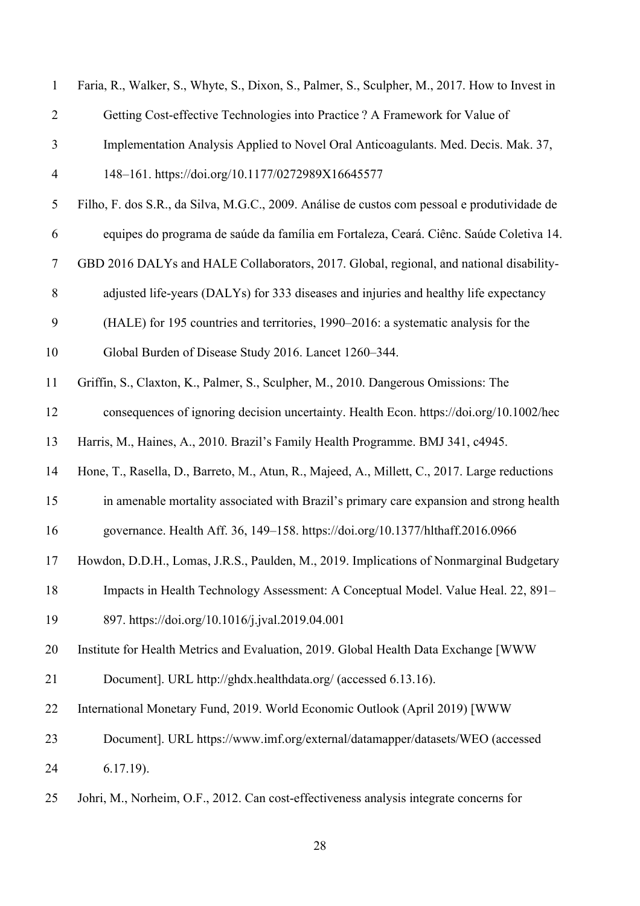| $\mathbf{1}$   | Faria, R., Walker, S., Whyte, S., Dixon, S., Palmer, S., Sculpher, M., 2017. How to Invest in |
|----------------|-----------------------------------------------------------------------------------------------|
| $\overline{2}$ | Getting Cost-effective Technologies into Practice ? A Framework for Value of                  |
| 3              | Implementation Analysis Applied to Novel Oral Anticoagulants. Med. Decis. Mak. 37,            |
| $\overline{4}$ | 148-161. https://doi.org/10.1177/0272989X16645577                                             |
| $\mathfrak{S}$ | Filho, F. dos S.R., da Silva, M.G.C., 2009. Análise de custos com pessoal e produtividade de  |
| 6              | equipes do programa de saúde da família em Fortaleza, Ceará. Ciênc. Saúde Coletiva 14.        |
| $\tau$         | GBD 2016 DALYs and HALE Collaborators, 2017. Global, regional, and national disability-       |
| $\,8\,$        | adjusted life-years (DALYs) for 333 diseases and injuries and healthy life expectancy         |
| 9              | (HALE) for 195 countries and territories, 1990–2016: a systematic analysis for the            |
| 10             | Global Burden of Disease Study 2016. Lancet 1260-344.                                         |
| 11             | Griffin, S., Claxton, K., Palmer, S., Sculpher, M., 2010. Dangerous Omissions: The            |
| 12             | consequences of ignoring decision uncertainty. Health Econ. https://doi.org/10.1002/hec       |
| 13             | Harris, M., Haines, A., 2010. Brazil's Family Health Programme. BMJ 341, c4945.               |
| 14             | Hone, T., Rasella, D., Barreto, M., Atun, R., Majeed, A., Millett, C., 2017. Large reductions |
| 15             | in amenable mortality associated with Brazil's primary care expansion and strong health       |
| 16             | governance. Health Aff. 36, 149-158. https://doi.org/10.1377/hlthaff.2016.0966                |
| 17             | Howdon, D.D.H., Lomas, J.R.S., Paulden, M., 2019. Implications of Nonmarginal Budgetary       |
| 18             | Impacts in Health Technology Assessment: A Conceptual Model. Value Heal. 22, 891–             |
| 19             | 897. https://doi.org/10.1016/j.jval.2019.04.001                                               |
| 20             | Institute for Health Metrics and Evaluation, 2019. Global Health Data Exchange [WWW           |
| 21             | Document]. URL http://ghdx.healthdata.org/ (accessed 6.13.16).                                |
| 22             | International Monetary Fund, 2019. World Economic Outlook (April 2019) [WWW                   |
| 23             | Document]. URL https://www.imf.org/external/datamapper/datasets/WEO (accessed                 |
| 24             | $6.17.19$ ).                                                                                  |
| 25             | Johri, M., Norheim, O.F., 2012. Can cost-effectiveness analysis integrate concerns for        |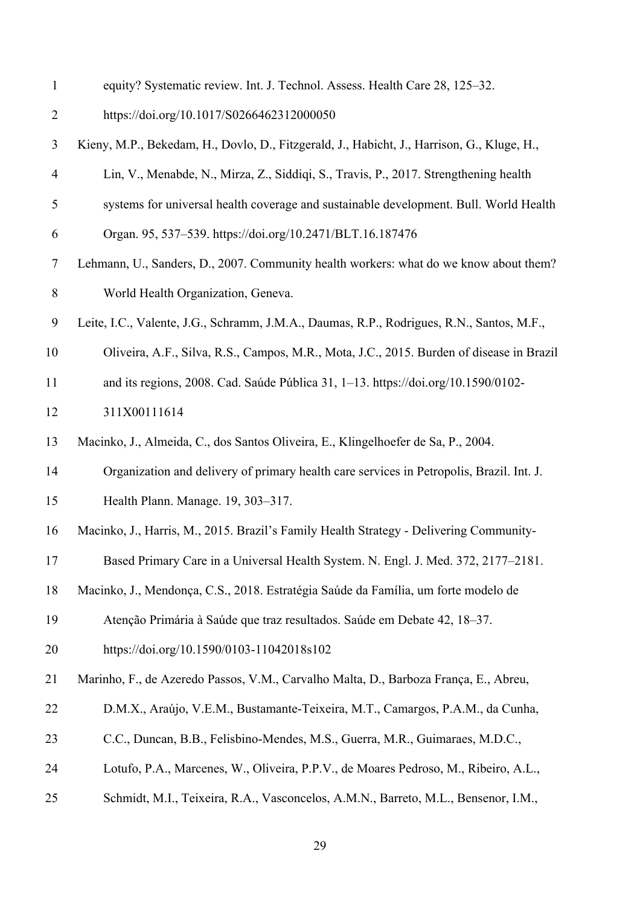| equity? Systematic review. Int. J. Technol. Assess. Health Care 28, 125–32. |  |
|-----------------------------------------------------------------------------|--|
|-----------------------------------------------------------------------------|--|

| https://doi.org/10.1017/S0266462312000050<br>∠ |  |
|------------------------------------------------|--|
|------------------------------------------------|--|

- Kieny, M.P., Bekedam, H., Dovlo, D., Fitzgerald, J., Habicht, J., Harrison, G., Kluge, H.,
- Lin, V., Menabde, N., Mirza, Z., Siddiqi, S., Travis, P., 2017. Strengthening health
- systems for universal health coverage and sustainable development. Bull. World Health
- Organ. 95, 537–539. https://doi.org/10.2471/BLT.16.187476
- Lehmann, U., Sanders, D., 2007. Community health workers: what do we know about them? World Health Organization, Geneva.
- Leite, I.C., Valente, J.G., Schramm, J.M.A., Daumas, R.P., Rodrigues, R.N., Santos, M.F.,
- Oliveira, A.F., Silva, R.S., Campos, M.R., Mota, J.C., 2015. Burden of disease in Brazil
- and its regions, 2008. Cad. Saúde Pública 31, 1–13. https://doi.org/10.1590/0102-
- 311X00111614
- Macinko, J., Almeida, C., dos Santos Oliveira, E., Klingelhoefer de Sa, P., 2004.
- Organization and delivery of primary health care services in Petropolis, Brazil. Int. J.
- Health Plann. Manage. 19, 303–317.
- Macinko, J., Harris, M., 2015. Brazil's Family Health Strategy Delivering Community-
- Based Primary Care in a Universal Health System. N. Engl. J. Med. 372, 2177–2181.
- Macinko, J., Mendonça, C.S., 2018. Estratégia Saúde da Família, um forte modelo de
- Atenção Primária à Saúde que traz resultados. Saúde em Debate 42, 18–37.
- https://doi.org/10.1590/0103-11042018s102
- Marinho, F., de Azeredo Passos, V.M., Carvalho Malta, D., Barboza França, E., Abreu,
- D.M.X., Araújo, V.E.M., Bustamante-Teixeira, M.T., Camargos, P.A.M., da Cunha,
- C.C., Duncan, B.B., Felisbino-Mendes, M.S., Guerra, M.R., Guimaraes, M.D.C.,
- Lotufo, P.A., Marcenes, W., Oliveira, P.P.V., de Moares Pedroso, M., Ribeiro, A.L.,
- Schmidt, M.I., Teixeira, R.A., Vasconcelos, A.M.N., Barreto, M.L., Bensenor, I.M.,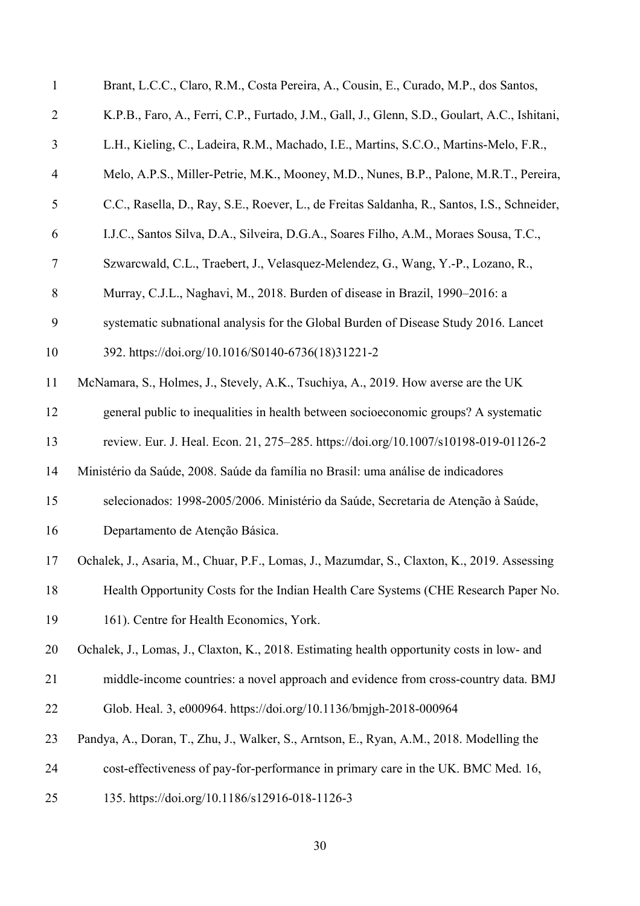| $\mathbf{1}$   | Brant, L.C.C., Claro, R.M., Costa Pereira, A., Cousin, E., Curado, M.P., dos Santos,          |
|----------------|-----------------------------------------------------------------------------------------------|
| $\overline{2}$ | K.P.B., Faro, A., Ferri, C.P., Furtado, J.M., Gall, J., Glenn, S.D., Goulart, A.C., Ishitani, |
| $\mathfrak{Z}$ | L.H., Kieling, C., Ladeira, R.M., Machado, I.E., Martins, S.C.O., Martins-Melo, F.R.,         |
| $\overline{4}$ | Melo, A.P.S., Miller-Petrie, M.K., Mooney, M.D., Nunes, B.P., Palone, M.R.T., Pereira,        |
| 5              | C.C., Rasella, D., Ray, S.E., Roever, L., de Freitas Saldanha, R., Santos, I.S., Schneider,   |
| 6              | I.J.C., Santos Silva, D.A., Silveira, D.G.A., Soares Filho, A.M., Moraes Sousa, T.C.,         |
| $\tau$         | Szwarcwald, C.L., Traebert, J., Velasquez-Melendez, G., Wang, Y.-P., Lozano, R.,              |
| $8\,$          | Murray, C.J.L., Naghavi, M., 2018. Burden of disease in Brazil, 1990–2016: a                  |
| 9              | systematic subnational analysis for the Global Burden of Disease Study 2016. Lancet           |
| 10             | 392. https://doi.org/10.1016/S0140-6736(18)31221-2                                            |
| 11             | McNamara, S., Holmes, J., Stevely, A.K., Tsuchiya, A., 2019. How averse are the UK            |
| 12             | general public to inequalities in health between socioeconomic groups? A systematic           |
| 13             | review. Eur. J. Heal. Econ. 21, 275-285. https://doi.org/10.1007/s10198-019-01126-2           |
| 14             | Ministério da Saúde, 2008. Saúde da família no Brasil: uma análise de indicadores             |
| 15             | selecionados: 1998-2005/2006. Ministério da Saúde, Secretaria de Atenção à Saúde,             |
| 16             | Departamento de Atenção Básica.                                                               |
| 17             | Ochalek, J., Asaria, M., Chuar, P.F., Lomas, J., Mazumdar, S., Claxton, K., 2019. Assessing   |
| 18             | Health Opportunity Costs for the Indian Health Care Systems (CHE Research Paper No.           |
| 19             | 161). Centre for Health Economics, York.                                                      |
| 20             | Ochalek, J., Lomas, J., Claxton, K., 2018. Estimating health opportunity costs in low- and    |
| 21             | middle-income countries: a novel approach and evidence from cross-country data. BMJ           |
| 22             | Glob. Heal. 3, e000964. https://doi.org/10.1136/bmjgh-2018-000964                             |
| 23             | Pandya, A., Doran, T., Zhu, J., Walker, S., Arntson, E., Ryan, A.M., 2018. Modelling the      |
| 24             | cost-effectiveness of pay-for-performance in primary care in the UK. BMC Med. 16,             |
| 25             | 135. https://doi.org/10.1186/s12916-018-1126-3                                                |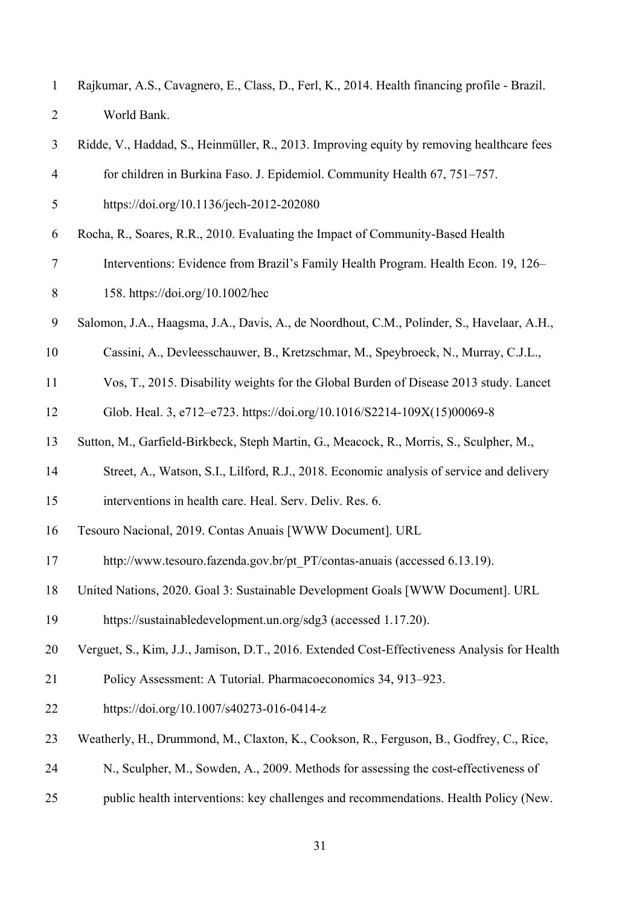| Rajkumar, A.S., Cavagnero, E., Class, D., Ferl, K., 2014. Health financing profile - Brazil. |
|----------------------------------------------------------------------------------------------|
| World Bank.                                                                                  |

| 3              | Ridde, V., Haddad, S., Heinmüller, R., 2013. Improving equity by removing healthcare fees    |
|----------------|----------------------------------------------------------------------------------------------|
| $\overline{4}$ | for children in Burkina Faso. J. Epidemiol. Community Health 67, 751–757.                    |
| 5              | https://doi.org/10.1136/jech-2012-202080                                                     |
| 6              | Rocha, R., Soares, R.R., 2010. Evaluating the Impact of Community-Based Health               |
| $\tau$         | Interventions: Evidence from Brazil's Family Health Program. Health Econ. 19, 126–           |
| $8\,$          | 158. https://doi.org/10.1002/hec                                                             |
| 9              | Salomon, J.A., Haagsma, J.A., Davis, A., de Noordhout, C.M., Polinder, S., Havelaar, A.H.,   |
| 10             | Cassini, A., Devleesschauwer, B., Kretzschmar, M., Speybroeck, N., Murray, C.J.L.,           |
| 11             | Vos, T., 2015. Disability weights for the Global Burden of Disease 2013 study. Lancet        |
| 12             | Glob. Heal. 3, e712-e723. https://doi.org/10.1016/S2214-109X(15)00069-8                      |
| 13             | Sutton, M., Garfield-Birkbeck, Steph Martin, G., Meacock, R., Morris, S., Sculpher, M.,      |
| 14             | Street, A., Watson, S.I., Lilford, R.J., 2018. Economic analysis of service and delivery     |
| 15             | interventions in health care. Heal. Serv. Deliv. Res. 6.                                     |
| 16             | Tesouro Nacional, 2019. Contas Anuais [WWW Document]. URL                                    |
| 17             | http://www.tesouro.fazenda.gov.br/pt PT/contas-anuais (accessed 6.13.19).                    |
| 18             | United Nations, 2020. Goal 3: Sustainable Development Goals [WWW Document]. URL              |
| 19             | https://sustainabledevelopment.un.org/sdg3 (accessed 1.17.20).                               |
| 20             | Verguet, S., Kim, J.J., Jamison, D.T., 2016. Extended Cost-Effectiveness Analysis for Health |
| 21             | Policy Assessment: A Tutorial. Pharmacoeconomics 34, 913–923.                                |
| 22             | https://doi.org/10.1007/s40273-016-0414-z                                                    |
| 23             | Weatherly, H., Drummond, M., Claxton, K., Cookson, R., Ferguson, B., Godfrey, C., Rice,      |
| 24             | N., Sculpher, M., Sowden, A., 2009. Methods for assessing the cost-effectiveness of          |
|                |                                                                                              |

public health interventions: key challenges and recommendations. Health Policy (New.